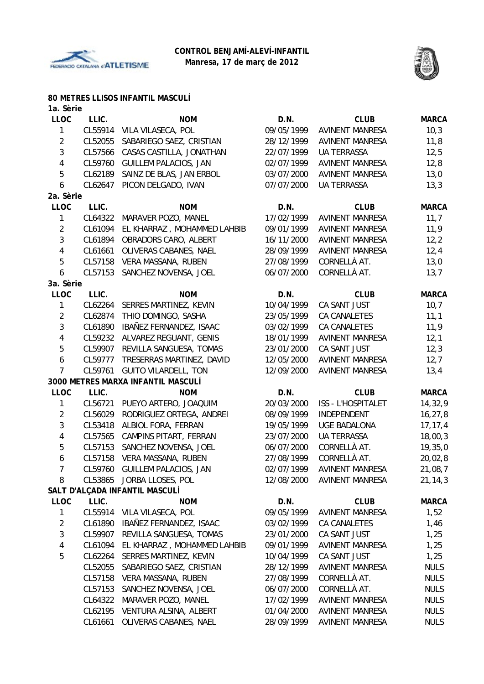



### **80 METRES LLISOS INFANTIL MASCULÍ**

| 1a. Sèrie |                                                                                                                                                                                                                      |                                                                                                                                                                                                                                                                                                                                                                                                                                                                                                                                                                                                                                            |                                                                                                                                                                                                                                                                                  |                                                                                                                                                                                                                                                                                                                                                                                                                         |
|-----------|----------------------------------------------------------------------------------------------------------------------------------------------------------------------------------------------------------------------|--------------------------------------------------------------------------------------------------------------------------------------------------------------------------------------------------------------------------------------------------------------------------------------------------------------------------------------------------------------------------------------------------------------------------------------------------------------------------------------------------------------------------------------------------------------------------------------------------------------------------------------------|----------------------------------------------------------------------------------------------------------------------------------------------------------------------------------------------------------------------------------------------------------------------------------|-------------------------------------------------------------------------------------------------------------------------------------------------------------------------------------------------------------------------------------------------------------------------------------------------------------------------------------------------------------------------------------------------------------------------|
| LLIC.     | <b>NOM</b>                                                                                                                                                                                                           | D.N.                                                                                                                                                                                                                                                                                                                                                                                                                                                                                                                                                                                                                                       | <b>CLUB</b>                                                                                                                                                                                                                                                                      | <b>MARCA</b>                                                                                                                                                                                                                                                                                                                                                                                                            |
| CL55914   | VILA VILASECA, POL                                                                                                                                                                                                   | 09/05/1999                                                                                                                                                                                                                                                                                                                                                                                                                                                                                                                                                                                                                                 | <b>AVINENT MANRESA</b>                                                                                                                                                                                                                                                           | 10,3                                                                                                                                                                                                                                                                                                                                                                                                                    |
| CL52055   | SABARIEGO SAEZ, CRISTIAN                                                                                                                                                                                             | 28/12/1999                                                                                                                                                                                                                                                                                                                                                                                                                                                                                                                                                                                                                                 | <b>AVINENT MANRESA</b>                                                                                                                                                                                                                                                           | 11,8                                                                                                                                                                                                                                                                                                                                                                                                                    |
| CL57566   | CASAS CASTILLA, JONATHAN                                                                                                                                                                                             | 22/07/1999                                                                                                                                                                                                                                                                                                                                                                                                                                                                                                                                                                                                                                 | <b>UA TERRASSA</b>                                                                                                                                                                                                                                                               | 12,5                                                                                                                                                                                                                                                                                                                                                                                                                    |
| CL59760   | <b>GUILLEM PALACIOS, JAN</b>                                                                                                                                                                                         | 02/07/1999                                                                                                                                                                                                                                                                                                                                                                                                                                                                                                                                                                                                                                 | <b>AVINENT MANRESA</b>                                                                                                                                                                                                                                                           | 12,8                                                                                                                                                                                                                                                                                                                                                                                                                    |
| CL62189   | SAINZ DE BLAS, JAN ERBOL                                                                                                                                                                                             | 03/07/2000                                                                                                                                                                                                                                                                                                                                                                                                                                                                                                                                                                                                                                 | <b>AVINENT MANRESA</b>                                                                                                                                                                                                                                                           | 13,0                                                                                                                                                                                                                                                                                                                                                                                                                    |
| CL62647   | PICON DELGADO, IVAN                                                                                                                                                                                                  | 07/07/2000                                                                                                                                                                                                                                                                                                                                                                                                                                                                                                                                                                                                                                 | <b>UA TERRASSA</b>                                                                                                                                                                                                                                                               | 13,3                                                                                                                                                                                                                                                                                                                                                                                                                    |
| 2a. Sèrie |                                                                                                                                                                                                                      |                                                                                                                                                                                                                                                                                                                                                                                                                                                                                                                                                                                                                                            |                                                                                                                                                                                                                                                                                  |                                                                                                                                                                                                                                                                                                                                                                                                                         |
| LLIC.     | <b>NOM</b>                                                                                                                                                                                                           | D.N.                                                                                                                                                                                                                                                                                                                                                                                                                                                                                                                                                                                                                                       | <b>CLUB</b>                                                                                                                                                                                                                                                                      | <b>MARCA</b>                                                                                                                                                                                                                                                                                                                                                                                                            |
| CL64322   | MARAVER POZO, MANEL                                                                                                                                                                                                  | 17/02/1999                                                                                                                                                                                                                                                                                                                                                                                                                                                                                                                                                                                                                                 | <b>AVINENT MANRESA</b>                                                                                                                                                                                                                                                           | 11,7                                                                                                                                                                                                                                                                                                                                                                                                                    |
| CL61094   | EL KHARRAZ, MOHAMMED LAHBIB                                                                                                                                                                                          | 09/01/1999                                                                                                                                                                                                                                                                                                                                                                                                                                                                                                                                                                                                                                 | <b>AVINENT MANRESA</b>                                                                                                                                                                                                                                                           | 11,9                                                                                                                                                                                                                                                                                                                                                                                                                    |
| CL61894   | OBRADORS CARO, ALBERT                                                                                                                                                                                                | 16/11/2000                                                                                                                                                                                                                                                                                                                                                                                                                                                                                                                                                                                                                                 | <b>AVINENT MANRESA</b>                                                                                                                                                                                                                                                           | 12,2                                                                                                                                                                                                                                                                                                                                                                                                                    |
|           |                                                                                                                                                                                                                      | 28/09/1999                                                                                                                                                                                                                                                                                                                                                                                                                                                                                                                                                                                                                                 | <b>AVINENT MANRESA</b>                                                                                                                                                                                                                                                           | 12,4                                                                                                                                                                                                                                                                                                                                                                                                                    |
|           |                                                                                                                                                                                                                      |                                                                                                                                                                                                                                                                                                                                                                                                                                                                                                                                                                                                                                            |                                                                                                                                                                                                                                                                                  | 13,0                                                                                                                                                                                                                                                                                                                                                                                                                    |
|           |                                                                                                                                                                                                                      |                                                                                                                                                                                                                                                                                                                                                                                                                                                                                                                                                                                                                                            |                                                                                                                                                                                                                                                                                  | 13,7                                                                                                                                                                                                                                                                                                                                                                                                                    |
|           |                                                                                                                                                                                                                      |                                                                                                                                                                                                                                                                                                                                                                                                                                                                                                                                                                                                                                            |                                                                                                                                                                                                                                                                                  |                                                                                                                                                                                                                                                                                                                                                                                                                         |
|           |                                                                                                                                                                                                                      |                                                                                                                                                                                                                                                                                                                                                                                                                                                                                                                                                                                                                                            |                                                                                                                                                                                                                                                                                  | <b>MARCA</b>                                                                                                                                                                                                                                                                                                                                                                                                            |
|           |                                                                                                                                                                                                                      |                                                                                                                                                                                                                                                                                                                                                                                                                                                                                                                                                                                                                                            |                                                                                                                                                                                                                                                                                  | 10,7                                                                                                                                                                                                                                                                                                                                                                                                                    |
|           |                                                                                                                                                                                                                      |                                                                                                                                                                                                                                                                                                                                                                                                                                                                                                                                                                                                                                            |                                                                                                                                                                                                                                                                                  | 11,1                                                                                                                                                                                                                                                                                                                                                                                                                    |
|           |                                                                                                                                                                                                                      |                                                                                                                                                                                                                                                                                                                                                                                                                                                                                                                                                                                                                                            |                                                                                                                                                                                                                                                                                  | 11,9                                                                                                                                                                                                                                                                                                                                                                                                                    |
|           |                                                                                                                                                                                                                      |                                                                                                                                                                                                                                                                                                                                                                                                                                                                                                                                                                                                                                            |                                                                                                                                                                                                                                                                                  | 12,1                                                                                                                                                                                                                                                                                                                                                                                                                    |
|           |                                                                                                                                                                                                                      |                                                                                                                                                                                                                                                                                                                                                                                                                                                                                                                                                                                                                                            |                                                                                                                                                                                                                                                                                  | 12,3                                                                                                                                                                                                                                                                                                                                                                                                                    |
|           |                                                                                                                                                                                                                      |                                                                                                                                                                                                                                                                                                                                                                                                                                                                                                                                                                                                                                            |                                                                                                                                                                                                                                                                                  | 12,7                                                                                                                                                                                                                                                                                                                                                                                                                    |
|           |                                                                                                                                                                                                                      |                                                                                                                                                                                                                                                                                                                                                                                                                                                                                                                                                                                                                                            |                                                                                                                                                                                                                                                                                  | 13,4                                                                                                                                                                                                                                                                                                                                                                                                                    |
|           |                                                                                                                                                                                                                      |                                                                                                                                                                                                                                                                                                                                                                                                                                                                                                                                                                                                                                            |                                                                                                                                                                                                                                                                                  |                                                                                                                                                                                                                                                                                                                                                                                                                         |
|           |                                                                                                                                                                                                                      |                                                                                                                                                                                                                                                                                                                                                                                                                                                                                                                                                                                                                                            |                                                                                                                                                                                                                                                                                  |                                                                                                                                                                                                                                                                                                                                                                                                                         |
|           |                                                                                                                                                                                                                      |                                                                                                                                                                                                                                                                                                                                                                                                                                                                                                                                                                                                                                            |                                                                                                                                                                                                                                                                                  | <b>MARCA</b>                                                                                                                                                                                                                                                                                                                                                                                                            |
|           |                                                                                                                                                                                                                      |                                                                                                                                                                                                                                                                                                                                                                                                                                                                                                                                                                                                                                            |                                                                                                                                                                                                                                                                                  | 14,32,9                                                                                                                                                                                                                                                                                                                                                                                                                 |
|           |                                                                                                                                                                                                                      |                                                                                                                                                                                                                                                                                                                                                                                                                                                                                                                                                                                                                                            |                                                                                                                                                                                                                                                                                  | 16, 27, 8                                                                                                                                                                                                                                                                                                                                                                                                               |
|           |                                                                                                                                                                                                                      |                                                                                                                                                                                                                                                                                                                                                                                                                                                                                                                                                                                                                                            |                                                                                                                                                                                                                                                                                  | 17, 17, 4                                                                                                                                                                                                                                                                                                                                                                                                               |
|           |                                                                                                                                                                                                                      |                                                                                                                                                                                                                                                                                                                                                                                                                                                                                                                                                                                                                                            |                                                                                                                                                                                                                                                                                  | 18,00,3                                                                                                                                                                                                                                                                                                                                                                                                                 |
|           |                                                                                                                                                                                                                      |                                                                                                                                                                                                                                                                                                                                                                                                                                                                                                                                                                                                                                            |                                                                                                                                                                                                                                                                                  | 19, 35, 0                                                                                                                                                                                                                                                                                                                                                                                                               |
|           |                                                                                                                                                                                                                      |                                                                                                                                                                                                                                                                                                                                                                                                                                                                                                                                                                                                                                            |                                                                                                                                                                                                                                                                                  | 20,02,8                                                                                                                                                                                                                                                                                                                                                                                                                 |
|           |                                                                                                                                                                                                                      |                                                                                                                                                                                                                                                                                                                                                                                                                                                                                                                                                                                                                                            |                                                                                                                                                                                                                                                                                  | 21,08,7                                                                                                                                                                                                                                                                                                                                                                                                                 |
|           |                                                                                                                                                                                                                      |                                                                                                                                                                                                                                                                                                                                                                                                                                                                                                                                                                                                                                            |                                                                                                                                                                                                                                                                                  | 21, 14, 3                                                                                                                                                                                                                                                                                                                                                                                                               |
|           |                                                                                                                                                                                                                      |                                                                                                                                                                                                                                                                                                                                                                                                                                                                                                                                                                                                                                            |                                                                                                                                                                                                                                                                                  |                                                                                                                                                                                                                                                                                                                                                                                                                         |
|           |                                                                                                                                                                                                                      |                                                                                                                                                                                                                                                                                                                                                                                                                                                                                                                                                                                                                                            |                                                                                                                                                                                                                                                                                  | <b>MARCA</b>                                                                                                                                                                                                                                                                                                                                                                                                            |
|           |                                                                                                                                                                                                                      |                                                                                                                                                                                                                                                                                                                                                                                                                                                                                                                                                                                                                                            |                                                                                                                                                                                                                                                                                  | 1,52                                                                                                                                                                                                                                                                                                                                                                                                                    |
| CL61890   | IBAÑEZ FERNANDEZ, ISAAC                                                                                                                                                                                              | 03/02/1999                                                                                                                                                                                                                                                                                                                                                                                                                                                                                                                                                                                                                                 | CA CANALETES                                                                                                                                                                                                                                                                     | 1,46                                                                                                                                                                                                                                                                                                                                                                                                                    |
| CL59907   | REVILLA SANGUESA, TOMAS                                                                                                                                                                                              | 23/01/2000                                                                                                                                                                                                                                                                                                                                                                                                                                                                                                                                                                                                                                 | CA SANT JUST                                                                                                                                                                                                                                                                     | 1,25                                                                                                                                                                                                                                                                                                                                                                                                                    |
| CL61094   | EL KHARRAZ, MOHAMMED LAHBIB                                                                                                                                                                                          | 09/01/1999                                                                                                                                                                                                                                                                                                                                                                                                                                                                                                                                                                                                                                 | <b>AVINENT MANRESA</b>                                                                                                                                                                                                                                                           | 1,25                                                                                                                                                                                                                                                                                                                                                                                                                    |
| CL62264   | SERRES MARTINEZ, KEVIN                                                                                                                                                                                               | 10/04/1999                                                                                                                                                                                                                                                                                                                                                                                                                                                                                                                                                                                                                                 | CA SANT JUST                                                                                                                                                                                                                                                                     | 1,25                                                                                                                                                                                                                                                                                                                                                                                                                    |
| CL52055   | SABARIEGO SAEZ, CRISTIAN                                                                                                                                                                                             | 28/12/1999                                                                                                                                                                                                                                                                                                                                                                                                                                                                                                                                                                                                                                 | <b>AVINENT MANRESA</b>                                                                                                                                                                                                                                                           | <b>NULS</b>                                                                                                                                                                                                                                                                                                                                                                                                             |
| CL57158   | VERA MASSANA, RUBEN                                                                                                                                                                                                  | 27/08/1999                                                                                                                                                                                                                                                                                                                                                                                                                                                                                                                                                                                                                                 | CORNELLÀ AT.                                                                                                                                                                                                                                                                     | <b>NULS</b>                                                                                                                                                                                                                                                                                                                                                                                                             |
| CL57153   | SANCHEZ NOVENSA, JOEL                                                                                                                                                                                                | 06/07/2000                                                                                                                                                                                                                                                                                                                                                                                                                                                                                                                                                                                                                                 | CORNELLÀ AT.                                                                                                                                                                                                                                                                     | <b>NULS</b>                                                                                                                                                                                                                                                                                                                                                                                                             |
| CL64322   | MARAVER POZO, MANEL                                                                                                                                                                                                  | 17/02/1999                                                                                                                                                                                                                                                                                                                                                                                                                                                                                                                                                                                                                                 | <b>AVINENT MANRESA</b>                                                                                                                                                                                                                                                           | <b>NULS</b>                                                                                                                                                                                                                                                                                                                                                                                                             |
| CL62195   | VENTURA ALSINA, ALBERT                                                                                                                                                                                               | 01/04/2000                                                                                                                                                                                                                                                                                                                                                                                                                                                                                                                                                                                                                                 | <b>AVINENT MANRESA</b>                                                                                                                                                                                                                                                           | <b>NULS</b>                                                                                                                                                                                                                                                                                                                                                                                                             |
| CL61661   | OLIVERAS CABANES, NAEL                                                                                                                                                                                               | 28/09/1999                                                                                                                                                                                                                                                                                                                                                                                                                                                                                                                                                                                                                                 | <b>AVINENT MANRESA</b>                                                                                                                                                                                                                                                           | <b>NULS</b>                                                                                                                                                                                                                                                                                                                                                                                                             |
|           | CL61661<br>CL57158<br>CL57153<br>3a. Sèrie<br>LLIC.<br>CL62264<br>CL62874<br>CL61890<br>CL59232<br>CL59907<br>CL59777<br>CL59761<br>LLIC.<br>CL56029<br>CL53418<br>CL57565<br>CL57153<br>CL53865<br>LLIC.<br>CL55914 | OLIVERAS CABANES, NAEL<br>VERA MASSANA, RUBEN<br>SANCHEZ NOVENSA, JOEL<br><b>NOM</b><br>SERRES MARTINEZ, KEVIN<br>THIO DOMINGO, SASHA<br>IBAÑEZ FERNANDEZ, ISAAC<br>ALVAREZ REGUANT, GENIS<br>REVILLA SANGUESA, TOMAS<br>TRESERRAS MARTINEZ, DAVID<br><b>GUITO VILARDELL, TON</b><br>3000 METRES MARXA INFANTIL MASCULÍ<br><b>NOM</b><br>CL56721<br>PUEYO ARTERO, JOAQUIM<br>RODRIGUEZ ORTEGA, ANDREI<br>ALBIOL FORA, FERRAN<br>CAMPINS PITART, FERRAN<br>SANCHEZ NOVENSA, JOEL<br>CL57158 VERA MASSANA, RUBEN<br>CL59760 GUILLEM PALACIOS, JAN<br>JORBA LLOSES, POL<br>SALT D'ALÇADA INFANTIL MASCULÍ<br><b>NOM</b><br>VILA VILASECA, POL | 27/08/1999<br>06/07/2000<br>D.N.<br>10/04/1999<br>23/05/1999<br>03/02/1999<br>18/01/1999<br>23/01/2000<br>12/05/2000<br>12/09/2000<br>D.N.<br>20/03/2000<br>08/09/1999<br>19/05/1999<br>23/07/2000<br>06/07/2000<br>27/08/1999<br>02/07/1999<br>12/08/2000<br>D.N.<br>09/05/1999 | CORNELLÀ AT.<br>CORNELLÀ AT.<br><b>CLUB</b><br>CA SANT JUST<br>CA CANALETES<br><b>CA CANALETES</b><br><b>AVINENT MANRESA</b><br>CA SANT JUST<br><b>AVINENT MANRESA</b><br><b>AVINENT MANRESA</b><br><b>CLUB</b><br>ISS - L'HOSPITALET<br>INDEPENDENT<br><b>UGE BADALONA</b><br>UA TERRASSA<br>CORNELLÀ AT.<br>CORNELLÀ AT.<br><b>AVINENT MANRESA</b><br><b>AVINENT MANRESA</b><br><b>CLUB</b><br><b>AVINENT MANRESA</b> |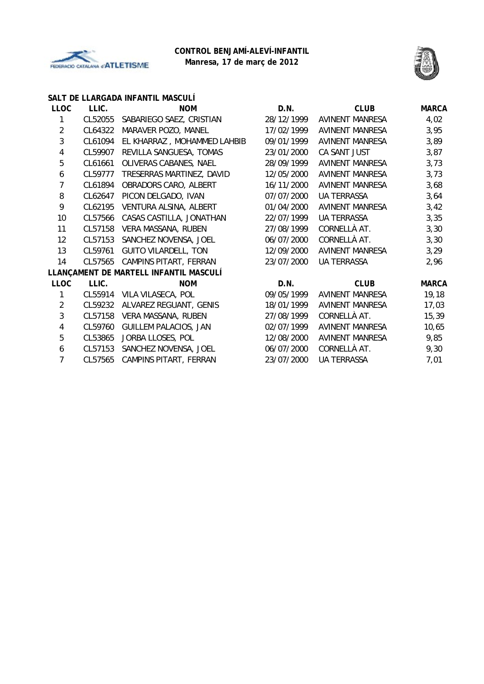



### **SALT DE LLARGADA INFANTIL MASCULÍ**

| <b>LLOC</b>    | LLIC.   | <b>NOM</b>                             | D.N.       | <b>CLUB</b>            | <b>MARCA</b> |
|----------------|---------|----------------------------------------|------------|------------------------|--------------|
| 1              | CL52055 | SABARIEGO SAEZ, CRISTIAN               | 28/12/1999 | AVINENT MANRESA        | 4,02         |
| $\overline{2}$ | CL64322 | MARAVER POZO, MANEL                    | 17/02/1999 | <b>AVINENT MANRESA</b> | 3,95         |
| 3              | CL61094 | EL KHARRAZ, MOHAMMED LAHBIB            | 09/01/1999 | <b>AVINENT MANRESA</b> | 3,89         |
| 4              | CL59907 | REVILLA SANGUESA, TOMAS                | 23/01/2000 | CA SANT JUST           | 3,87         |
| 5              | CL61661 | OLIVERAS CABANES, NAEL                 | 28/09/1999 | <b>AVINENT MANRESA</b> | 3,73         |
| 6              | CL59777 | TRESERRAS MARTINEZ, DAVID              | 12/05/2000 | AVINENT MANRESA        | 3,73         |
| 7              | CL61894 | OBRADORS CARO, ALBERT                  | 16/11/2000 | AVINENT MANRESA        | 3,68         |
| 8              | CL62647 | PICON DELGADO, IVAN                    | 07/07/2000 | <b>UA TERRASSA</b>     | 3,64         |
| 9              | CL62195 | VENTURA ALSINA, ALBERT                 | 01/04/2000 | <b>AVINENT MANRESA</b> | 3,42         |
| 10             | CL57566 | CASAS CASTILLA, JONATHAN               | 22/07/1999 | <b>UA TERRASSA</b>     | 3,35         |
| 11             | CL57158 | VERA MASSANA, RUBEN                    | 27/08/1999 | CORNELLÀ AT.           | 3,30         |
| 12             | CL57153 | SANCHEZ NOVENSA, JOEL                  | 06/07/2000 | CORNELLÀ AT.           | 3,30         |
| 13             | CL59761 | <b>GUITO VILARDELL, TON</b>            | 12/09/2000 | <b>AVINENT MANRESA</b> | 3,29         |
| 14             | CL57565 | CAMPINS PITART, FERRAN                 | 23/07/2000 | <b>UA TERRASSA</b>     | 2,96         |
|                |         | LLANÇAMENT DE MARTELL INFANTIL MASCULÍ |            |                        |              |
| <b>LLOC</b>    | LLIC.   | <b>NOM</b>                             | D.N.       | <b>CLUB</b>            | <b>MARCA</b> |
| 1              | CL55914 | VILA VILASECA, POL                     | 09/05/1999 | <b>AVINENT MANRESA</b> | 19, 18       |
| $\overline{2}$ | CL59232 | ALVAREZ REGUANT, GENIS                 | 18/01/1999 | <b>AVINENT MANRESA</b> | 17,03        |
| 3              | CL57158 | VERA MASSANA, RUBEN                    | 27/08/1999 | CORNELLÀ AT.           | 15, 39       |
| 4              | CL59760 | <b>GUILLEM PALACIOS, JAN</b>           | 02/07/1999 | <b>AVINENT MANRESA</b> | 10,65        |
| 5              | CL53865 | JORBA LLOSES, POL                      | 12/08/2000 | <b>AVINENT MANRESA</b> | 9,85         |
| 6              | CL57153 | SANCHEZ NOVENSA, JOEL                  | 06/07/2000 | CORNELLÀ AT.           | 9,30         |
| 7              | CL57565 | CAMPINS PITART, FERRAN                 | 23/07/2000 | <b>UA TERRASSA</b>     | 7,01         |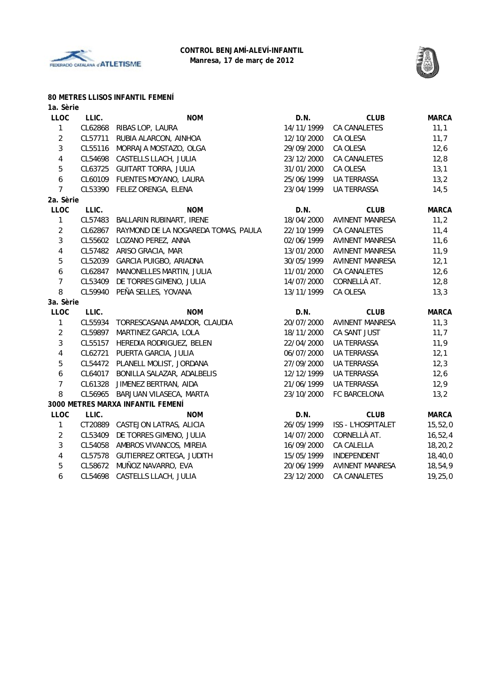



#### **80 METRES LLISOS INFANTIL FEMENÍ**

| LLIC.   | <b>NOM</b>                                     | D.N.                                                                                                                         | <b>CLUB</b>            | <b>MARCA</b> |
|---------|------------------------------------------------|------------------------------------------------------------------------------------------------------------------------------|------------------------|--------------|
| CL62868 | RIBAS LOP, LAURA                               | 14/11/1999                                                                                                                   | <b>CA CANALETES</b>    | 11,1         |
| CL57711 | RUBIA ALARCON, AINHOA                          | 12/10/2000                                                                                                                   | CA OLESA               | 11,7         |
| CL55116 | MORRAJA MOSTAZO, OLGA                          | 29/09/2000                                                                                                                   | CA OLESA               | 12,6         |
| CL54698 | CASTELLS LLACH, JULIA                          | 23/12/2000                                                                                                                   | CA CANALETES           | 12,8         |
| CL63725 | <b>GUITART TORRA, JULIA</b>                    | 31/01/2000                                                                                                                   | CA OLESA               | 13,1         |
| CL60109 | FUENTES MOYANO, LAURA                          | 25/06/1999                                                                                                                   | <b>UA TERRASSA</b>     | 13,2         |
|         | FELEZ ORENGA, ELENA                            | 23/04/1999                                                                                                                   | <b>UA TERRASSA</b>     | 14,5         |
|         |                                                |                                                                                                                              |                        |              |
| LLIC.   | <b>NOM</b>                                     | D.N.                                                                                                                         | <b>CLUB</b>            | <b>MARCA</b> |
| CL57483 | BALLARIN RUBINART, IRENE                       | 18/04/2000                                                                                                                   | AVINENT MANRESA        | 11,2         |
| CL62867 | RAYMOND DE LA NOGAREDA TOMAS, PAULA            | 22/10/1999                                                                                                                   | <b>CA CANALETES</b>    | 11,4         |
| CL55602 | LOZANO PEREZ, ANNA                             | 02/06/1999                                                                                                                   | AVINENT MANRESA        | 11,6         |
|         | ARISO GRACIA, MAR                              | 13/01/2000                                                                                                                   | <b>AVINENT MANRESA</b> | 11,9         |
| CL52039 | GARCIA PUIGBO, ARIADNA                         | 30/05/1999                                                                                                                   | <b>AVINENT MANRESA</b> | 12,1         |
| CL62847 | MANONELLES MARTIN, JULIA                       | 11/01/2000                                                                                                                   | <b>CA CANALETES</b>    | 12,6         |
| CL53409 | DE TORRES GIMENO, JULIA                        | 14/07/2000                                                                                                                   | CORNELLÀ AT.           | 12,8         |
| CL59940 | PEÑA SELLES, YOVANA                            | 13/11/1999                                                                                                                   | CA OLESA               | 13,3         |
|         |                                                |                                                                                                                              |                        |              |
| LLIC.   | <b>NOM</b>                                     | D.N.                                                                                                                         | <b>CLUB</b>            | <b>MARCA</b> |
|         | TORRESCASANA AMADOR, CLAUDIA                   | 20/07/2000                                                                                                                   | AVINENT MANRESA        | 11,3         |
| CL59897 | MARTINEZ GARCIA, LOLA                          | 18/11/2000                                                                                                                   | CA SANT JUST           | 11,7         |
| CL55157 | HEREDIA RODRIGUEZ, BELEN                       | 22/04/2000                                                                                                                   | UA TERRASSA            | 11,9         |
| CL62721 | PUERTA GARCIA, JULIA                           | 06/07/2000                                                                                                                   | <b>UA TERRASSA</b>     | 12,1         |
|         | PLANELL MOLIST, JORDANA                        | 27/09/2000                                                                                                                   | <b>UA TERRASSA</b>     | 12,3         |
|         | BONILLA SALAZAR, ADALBELIS                     | 12/12/1999                                                                                                                   | <b>UA TERRASSA</b>     | 12,6         |
| CL61328 | JIMENEZ BERTRAN, AIDA                          | 21/06/1999                                                                                                                   | <b>UA TERRASSA</b>     | 12,9         |
| CL56965 | BARJUAN VILASECA, MARTA                        | 23/10/2000                                                                                                                   | FC BARCELONA           | 13,2         |
|         |                                                |                                                                                                                              |                        |              |
| LLIC.   | <b>NOM</b>                                     | D.N.                                                                                                                         | <b>CLUB</b>            | <b>MARCA</b> |
|         | CASTEJON LATRAS, ALICIA                        | 26/05/1999                                                                                                                   | ISS - L'HOSPITALET     | 15,52,0      |
| CL53409 | DE TORRES GIMENO, JULIA                        | 14/07/2000                                                                                                                   | CORNELLÀ AT.           | 16, 52, 4    |
| CL54058 | AMBROS VIVANCOS, MIREIA                        | 16/09/2000                                                                                                                   | CA CALELLA             | 18,20,2      |
| CL57578 | GUTIERREZ ORTEGA, JUDITH                       | 15/05/1999                                                                                                                   | INDEPENDENT            | 18,40,0      |
|         | MUÑOZ NAVARRO, EVA                             | 20/06/1999                                                                                                                   | <b>AVINENT MANRESA</b> | 18,54,9      |
| CL54698 |                                                | 23/12/2000                                                                                                                   | CA CANALETES           | 19, 25, 0    |
|         | 1a. Sèrie<br>2a. Sèrie<br>3a. Sèrie<br>CL64017 | CL53390<br>CL57482<br>CL55934<br>CL54472<br>3000 METRES MARXA INFANTIL FEMENÍ<br>CT20889<br>CL58672<br>CASTELLS LLACH, JULIA |                        |              |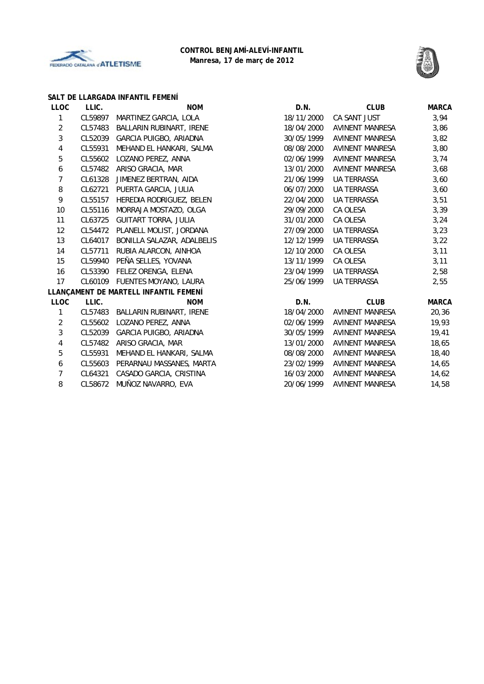



#### **SALT DE LLARGADA INFANTIL FEMENÍ**

| <b>LLOC</b>      | LLIC.   | <b>NOM</b>                            | D.N.       | <b>CLUB</b>            | <b>MARCA</b> |
|------------------|---------|---------------------------------------|------------|------------------------|--------------|
| 1                | CL59897 | MARTINEZ GARCIA, LOLA                 | 18/11/2000 | CA SANT JUST           | 3,94         |
| $\overline{2}$   | CL57483 | BALLARIN RUBINART, IRENE              | 18/04/2000 | <b>AVINENT MANRESA</b> | 3,86         |
| 3                | CL52039 | GARCIA PUIGBO, ARIADNA                | 30/05/1999 | AVINENT MANRESA        | 3,82         |
| 4                | CL55931 | MEHAND EL HANKARI, SALMA              | 08/08/2000 | AVINENT MANRESA        | 3,80         |
| 5                | CL55602 | LOZANO PEREZ, ANNA                    | 02/06/1999 | AVINENT MANRESA        | 3,74         |
| $\boldsymbol{6}$ | CL57482 | ARISO GRACIA, MAR                     | 13/01/2000 | AVINENT MANRESA        | 3,68         |
| 7                | CL61328 | JIMENEZ BERTRAN, AIDA                 | 21/06/1999 | <b>UA TERRASSA</b>     | 3,60         |
| 8                | CL62721 | PUERTA GARCIA, JULIA                  | 06/07/2000 | UA TERRASSA            | 3,60         |
| 9                | CL55157 | HEREDIA RODRIGUEZ, BELEN              | 22/04/2000 | UA TERRASSA            | 3,51         |
| 10               | CL55116 | MORRAJA MOSTAZO, OLGA                 | 29/09/2000 | CA OLESA               | 3,39         |
| 11               | CL63725 | GUITART TORRA, JULIA                  | 31/01/2000 | CA OLESA               | 3,24         |
| 12               |         | CL54472 PLANELL MOLIST, JORDANA       | 27/09/2000 | UA TERRASSA            | 3,23         |
| 13               | CL64017 | BONILLA SALAZAR, ADALBELIS            | 12/12/1999 | UA TERRASSA            | 3,22         |
| 14               | CL57711 | RUBIA ALARCON, AINHOA                 | 12/10/2000 | CA OLESA               | 3,11         |
| 15               |         | CL59940 PEÑA SELLES, YOVANA           | 13/11/1999 | CA OLESA               | 3,11         |
| 16               |         | CL53390 FELEZ ORENGA, ELENA           | 23/04/1999 | <b>UA TERRASSA</b>     | 2,58         |
| 17               |         | CL60109 FUENTES MOYANO, LAURA         | 25/06/1999 | <b>UA TERRASSA</b>     | 2,55         |
|                  |         | LLANÇAMENT DE MARTELL INFANTIL FEMENÍ |            |                        |              |
| LLOC             | LLIC.   | <b>NOM</b>                            | D.N.       | <b>CLUB</b>            | <b>MARCA</b> |
| $\mathbf{1}$     |         | CL57483 BALLARIN RUBINART, IRENE      | 18/04/2000 | AVINENT MANRESA        | 20,36        |
| $\overline{2}$   | CL55602 | LOZANO PEREZ, ANNA                    | 02/06/1999 | AVINENT MANRESA        | 19,93        |
| 3                | CL52039 | GARCIA PUIGBO, ARIADNA                | 30/05/1999 | <b>AVINENT MANRESA</b> | 19,41        |
| 4                | CL57482 | ARISO GRACIA, MAR                     | 13/01/2000 | AVINENT MANRESA        | 18,65        |
| 5                | CL55931 | MEHAND EL HANKARI, SALMA              | 08/08/2000 | AVINENT MANRESA        | 18,40        |
| 6                | CL55603 | PERARNAU MASSANES, MARTA              | 23/02/1999 | AVINENT MANRESA        | 14,65        |
| 7                | CL64321 | CASADO GARCIA, CRISTINA               | 16/03/2000 | AVINENT MANRESA        | 14,62        |
| 8                | CL58672 | MUÑOZ NAVARRO, EVA                    | 20/06/1999 | AVINENT MANRESA        | 14,58        |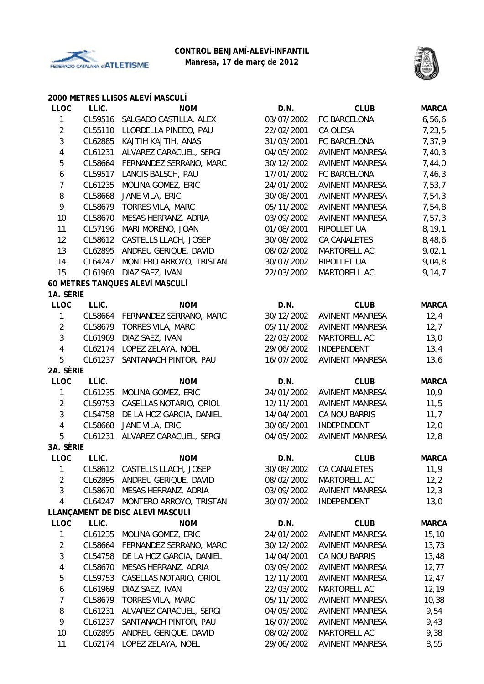



### **2000 METRES LLISOS ALEVÍ MASCULÍ**

| <b>LLOC</b>             | LLIC.   | <b>NOM</b>                       | D.N.       | <b>CLUB</b>            | <b>MARCA</b> |
|-------------------------|---------|----------------------------------|------------|------------------------|--------------|
| $\mathbf{1}$            | CL59516 | SALGADO CASTILLA, ALEX           | 03/07/2002 | FC BARCELONA           | 6,56,6       |
| $\overline{2}$          | CL55110 | LLORDELLA PINEDO, PAU            | 22/02/2001 | CA OLESA               | 7,23,5       |
| 3                       | CL62885 | KAJTIH KAJTIH, ANAS              | 31/03/2001 | FC BARCELONA           | 7,37,9       |
| $\overline{\mathbf{4}}$ | CL61231 | ALVAREZ CARACUEL, SERGI          | 04/05/2002 | <b>AVINENT MANRESA</b> | 7,40,3       |
| 5                       | CL58664 | FERNANDEZ SERRANO, MARC          | 30/12/2002 | <b>AVINENT MANRESA</b> | 7,44,0       |
| 6                       | CL59517 | LANCIS BALSCH, PAU               | 17/01/2002 | FC BARCELONA           | 7,46,3       |
| $\overline{7}$          | CL61235 | MOLINA GOMEZ, ERIC               | 24/01/2002 | <b>AVINENT MANRESA</b> | 7,53,7       |
| 8                       | CL58668 | JANE VILA, ERIC                  | 30/08/2001 | <b>AVINENT MANRESA</b> | 7,54,3       |
| 9                       | CL58679 | <b>TORRES VILA, MARC</b>         | 05/11/2002 | <b>AVINENT MANRESA</b> | 7,54,8       |
| 10                      | CL58670 | MESAS HERRANZ, ADRIA             | 03/09/2002 | <b>AVINENT MANRESA</b> | 7,57,3       |
| 11                      | CL57196 | MARI MORENO, JOAN                | 01/08/2001 | RIPOLLET UA            | 8, 19, 1     |
| 12                      | CL58612 | CASTELLS LLACH, JOSEP            | 30/08/2002 | CA CANALETES           | 8,48,6       |
| 13                      | CL62895 | ANDREU GERIQUE, DAVID            | 08/02/2002 | MARTORELL AC           | 9,02,1       |
| 14                      | CL64247 | MONTERO ARROYO, TRISTAN          | 30/07/2002 | RIPOLLET UA            | 9,04,8       |
| 15                      | CL61969 | DIAZ SAEZ, IVAN                  | 22/03/2002 | MARTORELL AC           | 9,14,7       |
|                         |         | 60 METRES TANQUES ALEVÍ MASCULÍ  |            |                        |              |
| 1A. SÈRIE               |         |                                  |            |                        |              |
| <b>LLOC</b>             | LLIC.   | <b>NOM</b>                       | D.N.       | <b>CLUB</b>            | <b>MARCA</b> |
| $\mathbf{1}$            | CL58664 | FERNANDEZ SERRANO, MARC          | 30/12/2002 | <b>AVINENT MANRESA</b> | 12,4         |
| $\overline{2}$          | CL58679 | <b>TORRES VILA, MARC</b>         | 05/11/2002 | <b>AVINENT MANRESA</b> | 12,7         |
| 3                       | CL61969 | DIAZ SAEZ, IVAN                  | 22/03/2002 | MARTORELL AC           | 13,0         |
| $\overline{4}$          | CL62174 | LOPEZ ZELAYA, NOEL               | 29/06/2002 | INDEPENDENT            | 13,4         |
| 5                       | CL61237 | SANTANACH PINTOR, PAU            | 16/07/2002 | <b>AVINENT MANRESA</b> | 13,6         |
| 2A. SÈRIE               |         |                                  |            |                        |              |
| <b>LLOC</b>             | LLIC.   | <b>NOM</b>                       | D.N.       | <b>CLUB</b>            | <b>MARCA</b> |
| 1                       | CL61235 | MOLINA GOMEZ, ERIC               | 24/01/2002 | AVINENT MANRESA        | 10,9         |
| $\overline{2}$          | CL59753 | CASELLAS NOTARIO, ORIOL          | 12/11/2001 | <b>AVINENT MANRESA</b> | 11,5         |
| 3                       | CL54758 | DE LA HOZ GARCIA, DANIEL         | 14/04/2001 | CA NOU BARRIS          | 11,7         |
| $\overline{\mathbf{4}}$ | CL58668 | JANE VILA, ERIC                  | 30/08/2001 | INDEPENDENT            | 12,0         |
| 5                       | CL61231 | ALVAREZ CARACUEL, SERGI          | 04/05/2002 | <b>AVINENT MANRESA</b> | 12,8         |
| 3A. SÈRIE               |         |                                  |            |                        |              |
| LLOC                    | LLIC.   | <b>NOM</b>                       | D.N.       | <b>CLUB</b>            | <b>MARCA</b> |
| 1                       | CL58612 | CASTELLS LLACH, JOSEP            | 30/08/2002 | CA CANALETES           | 11,9         |
| $\overline{2}$          | CL62895 | ANDREU GERIQUE, DAVID            | 08/02/2002 | MARTORELL AC           | 12, 2        |
| 3                       | CL58670 | MESAS HERRANZ, ADRIA             | 03/09/2002 | <b>AVINENT MANRESA</b> | 12,3         |
| $\overline{4}$          | CL64247 | MONTERO ARROYO, TRISTAN          | 30/07/2002 | INDEPENDENT            | 13,0         |
|                         |         | LLANÇAMENT DE DISC ALEVÍ MASCULÍ |            |                        |              |
| <b>LLOC</b>             | LLIC.   | <b>NOM</b>                       | D.N.       | <b>CLUB</b>            | <b>MARCA</b> |
| 1                       | CL61235 | MOLINA GOMEZ, ERIC               | 24/01/2002 | <b>AVINENT MANRESA</b> | 15, 10       |
| $\overline{2}$          | CL58664 | FERNANDEZ SERRANO, MARC          | 30/12/2002 | <b>AVINENT MANRESA</b> | 13,73        |
| 3                       | CL54758 | DE LA HOZ GARCIA, DANIEL         | 14/04/2001 | CA NOU BARRIS          | 13,48        |
| 4                       | CL58670 | MESAS HERRANZ, ADRIA             | 03/09/2002 | <b>AVINENT MANRESA</b> | 12, 77       |
| 5                       | CL59753 | CASELLAS NOTARIO, ORIOL          | 12/11/2001 | <b>AVINENT MANRESA</b> | 12,47        |
| 6                       | CL61969 | DIAZ SAEZ, IVAN                  | 22/03/2002 | MARTORELL AC           | 12, 19       |
| $\overline{7}$          | CL58679 | <b>TORRES VILA, MARC</b>         | 05/11/2002 | <b>AVINENT MANRESA</b> | 10,38        |
| 8                       | CL61231 | ALVAREZ CARACUEL, SERGI          | 04/05/2002 | AVINENT MANRESA        | 9,54         |
| 9                       | CL61237 | SANTANACH PINTOR, PAU            | 16/07/2002 | <b>AVINENT MANRESA</b> | 9,43         |
| 10                      | CL62895 | ANDREU GERIQUE, DAVID            | 08/02/2002 | MARTORELL AC           | 9,38         |
| 11                      | CL62174 | LOPEZ ZELAYA, NOEL               | 29/06/2002 | AVINENT MANRESA        | 8,55         |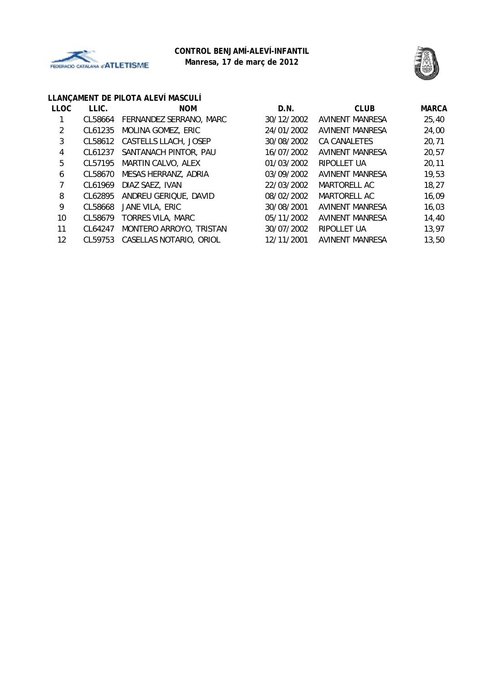



# **LLANÇAMENT DE PILOTA ALEVÍ MASCULÍ**

| <b>LLOC</b> | LLIC.   | <b>NOM</b>              | D.N.       | <b>CLUB</b>            | <b>MARCA</b> |
|-------------|---------|-------------------------|------------|------------------------|--------------|
|             | CL58664 | FERNANDEZ SERRANO, MARC | 30/12/2002 | <b>AVINENT MANRESA</b> | 25,40        |
| 2           | CL61235 | MOLINA GOMEZ, ERIC      | 24/01/2002 | <b>AVINENT MANRESA</b> | 24,00        |
| 3           | CL58612 | CASTELLS LLACH, JOSEP   | 30/08/2002 | CA CANALETES           | 20,71        |
| 4           | CL61237 | SANTANACH PINTOR, PAU   | 16/07/2002 | AVINENT MANRESA        | 20,57        |
| 5           | CL57195 | MARTIN CALVO, ALEX      | 01/03/2002 | RIPOLLET UA            | 20,11        |
| 6           | CL58670 | MESAS HERRANZ, ADRIA    | 03/09/2002 | <b>AVINENT MANRESA</b> | 19,53        |
|             | CL61969 | DIAZ SAEZ, IVAN         | 22/03/2002 | MARTORELL AC           | 18,27        |
| 8           | CL62895 | ANDREU GERIQUE, DAVID   | 08/02/2002 | MARTORELL AC           | 16,09        |
| 9           | CL58668 | JANE VILA, ERIC         | 30/08/2001 | <b>AVINENT MANRESA</b> | 16,03        |
| 10          | CL58679 | TORRES VILA, MARC       | 05/11/2002 | <b>AVINENT MANRESA</b> | 14,40        |
| 11          | CL64247 | MONTERO ARROYO, TRISTAN | 30/07/2002 | RIPOLLET UA            | 13,97        |
| 12          | CL59753 | CASELLAS NOTARIO, ORIOL | 12/11/2001 | <b>AVINENT MANRESA</b> | 13,50        |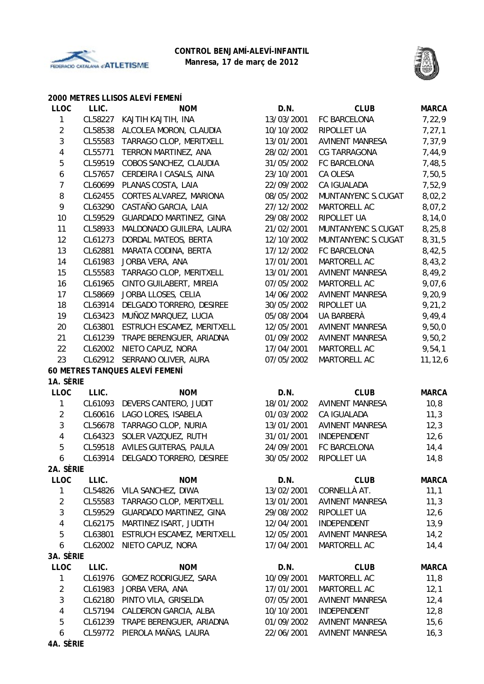



### **2000 METRES LLISOS ALEVÍ FEMENÍ**

| 13/03/2001<br>CL58227<br>FC BARCELONA<br>7,22,9<br>1<br>KAJTIH KAJTIH, INA<br>$\overline{2}$<br>ALCOLEA MORON, CLAUDIA<br>10/10/2002<br>7, 27, 1<br>CL58538<br>RIPOLLET UA<br>3<br>TARRAGO CLOP, MERITXELL<br>7,37,9<br>CL55583<br>13/01/2001<br><b>AVINENT MANRESA</b><br>4<br>CL55771<br>TERRON MARTINEZ, ANA<br>CG TARRAGONA<br>7,44,9<br>28/02/2001<br>5<br>CL59519<br>COBOS SANCHEZ, CLAUDIA<br>31/05/2002<br>FC BARCELONA<br>7,48,5<br>6<br>CL57657<br>CERDEIRA I CASALS, AINA<br>23/10/2001<br>CA OLESA<br>7,50,5<br>$\overline{7}$<br>CL60699<br>PLANAS COSTA, LAIA<br>CA IGUALADA<br>7,52,9<br>22/09/2002<br>8<br>8,02,2<br>CL62455<br>CORTES ALVAREZ, MARIONA<br>08/05/2002<br>MUNTANYENC S.CUGAT<br>9<br>CL63290<br>CASTAÑO GARCIA, LAIA<br>MARTORELL AC<br>8,07,2<br>27/12/2002<br>10<br>8,14,0<br>CL59529<br><b>GUARDADO MARTINEZ, GINA</b><br>29/08/2002<br>RIPOLLET UA<br>8,25,8<br>11<br>CL58933<br>MALDONADO GUILERA, LAURA<br>21/02/2001<br>MUNTANYENC S.CUGAT<br>8,31,5<br>12<br>CL61273<br>DORDAL MATEOS, BERTA<br>12/10/2002<br>MUNTANYENC S.CUGAT<br>13<br>CL62881<br>MARATA CODINA, BERTA<br>17/12/2002<br>FC BARCELONA<br>8,42,5<br>14<br>CL61983<br>JORBA VERA, ANA<br>17/01/2001<br>MARTORELL AC<br>8,43,2<br>15<br>TARRAGO CLOP, MERITXELL<br>CL55583<br>13/01/2001<br><b>AVINENT MANRESA</b><br>8,49,2<br>16<br>CL61965<br>MARTORELL AC<br>9,07,6<br>CINTO GUILABERT, MIREIA<br>07/05/2002<br>17<br><b>AVINENT MANRESA</b><br>9,20,9<br>CL58669<br>JORBA LLOSES, CELIA<br>14/06/2002<br>9,21,2<br>18<br>DELGADO TORRERO, DESIREE<br>RIPOLLET UA<br>CL63914<br>30/05/2002<br>9,49,4<br>19<br>MUÑOZ MARQUEZ, LUCIA<br>05/08/2004<br>UA BARBERÀ<br>CL63423<br>20<br>CL63801<br>ESTRUCH ESCAMEZ, MERITXELL<br>12/05/2001<br><b>AVINENT MANRESA</b><br>9,50,0<br>21<br>CL61239<br>TRAPE BERENGUER, ARIADNA<br>01/09/2002<br><b>AVINENT MANRESA</b><br>9,50,2<br>22<br>9,54,1<br>CL62002<br>NIETO CAPUZ, NORA<br>17/04/2001<br>MARTORELL AC<br>23<br>SERRANO OLIVER, AURA<br>07/05/2002<br>11, 12, 6<br>CL62912<br>MARTORELL AC<br>60 METRES TANQUES ALEVÍ FEMENÍ<br>1A. SÈRIE<br><b>LLOC</b><br>LLIC.<br><b>NOM</b><br>D.N.<br><b>CLUB</b><br><b>MARCA</b><br>18/01/2002<br>10, 8<br>1<br>CL61093<br>DEVERS CANTERO, JUDIT<br><b>AVINENT MANRESA</b><br>$\overline{2}$<br>CL60616<br>LAGO LORES, ISABELA<br>01/03/2002<br>CA IGUALADA<br>11,3<br>3<br>AVINENT MANRESA<br>CL56678<br>TARRAGO CLOP, NURIA<br>13/01/2001<br>12,3<br>4<br>CL64323<br>SOLER VAZQUEZ, RUTH<br>31/01/2001<br>INDEPENDENT<br>12,6<br>5<br>CL59518<br>AVILES GUITERAS, PAULA<br>24/09/2001<br>FC BARCELONA<br>14,4<br>DELGADO TORRERO, DESIREE<br>30/05/2002<br>RIPOLLET UA<br>14,8<br>6<br>CL63914<br>2A. SERIE<br><b>LLOC</b><br>LLIC.<br><b>NOM</b><br>D.N.<br><b>CLUB</b><br><b>MARCA</b><br>1<br>13/02/2001<br>CL54826<br>VILA SANCHEZ, DIWA<br>CORNELLÀ AT.<br>11,1<br>$\overline{2}$<br>CL55583<br>TARRAGO CLOP, MERITXELL<br>13/01/2001<br><b>AVINENT MANRESA</b><br>11,3<br>3<br>CL59529<br><b>GUARDADO MARTINEZ, GINA</b><br>29/08/2002<br>RIPOLLET UA<br>12,6<br>4<br>13,9<br>CL62175<br>MARTINEZ ISART, JUDITH<br>12/04/2001<br>INDEPENDENT<br>5<br>CL63801<br>ESTRUCH ESCAMEZ, MERITXELL<br>12/05/2001<br><b>AVINENT MANRESA</b><br>14,2<br>NIETO CAPUZ, NORA<br>17/04/2001<br>MARTORELL AC<br>6<br>CL62002<br>14, 4<br>3A. SÈRIE<br><b>LLOC</b><br>LLIC.<br><b>NOM</b><br><b>MARCA</b><br>D.N.<br><b>CLUB</b><br>10/09/2001<br>1<br>CL61976<br>GOMEZ RODRIGUEZ, SARA<br>MARTORELL AC<br>11,8<br>$\overline{2}$<br>CL61983<br>JORBA VERA, ANA<br>17/01/2001<br>MARTORELL AC<br>12,1<br>3<br>PINTO VILA, GRISELDA<br>CL62180<br>07/05/2001<br><b>AVINENT MANRESA</b><br>12,4<br>CALDERON GARCIA, ALBA<br>4<br>CL57194<br>10/10/2001<br>INDEPENDENT<br>12,8<br>5<br>CL61239<br>TRAPE BERENGUER, ARIADNA<br>01/09/2002<br><b>AVINENT MANRESA</b><br>15,6<br>PIEROLA MAÑAS, LAURA<br>6<br>CL59772<br>22/06/2001<br>AVINENT MANRESA<br>16,3<br>4A. SÈRIE | <b>LLOC</b> | LLIC. | <b>NOM</b> | D.N. | <b>CLUB</b> | <b>MARCA</b> |
|----------------------------------------------------------------------------------------------------------------------------------------------------------------------------------------------------------------------------------------------------------------------------------------------------------------------------------------------------------------------------------------------------------------------------------------------------------------------------------------------------------------------------------------------------------------------------------------------------------------------------------------------------------------------------------------------------------------------------------------------------------------------------------------------------------------------------------------------------------------------------------------------------------------------------------------------------------------------------------------------------------------------------------------------------------------------------------------------------------------------------------------------------------------------------------------------------------------------------------------------------------------------------------------------------------------------------------------------------------------------------------------------------------------------------------------------------------------------------------------------------------------------------------------------------------------------------------------------------------------------------------------------------------------------------------------------------------------------------------------------------------------------------------------------------------------------------------------------------------------------------------------------------------------------------------------------------------------------------------------------------------------------------------------------------------------------------------------------------------------------------------------------------------------------------------------------------------------------------------------------------------------------------------------------------------------------------------------------------------------------------------------------------------------------------------------------------------------------------------------------------------------------------------------------------------------------------------------------------------------------------------------------------------------------------------------------------------------------------------------------------------------------------------------------------------------------------------------------------------------------------------------------------------------------------------------------------------------------------------------------------------------------------------------------------------------------------------------------------------------------------------------------------------------------------------------------------------------------------------------------------------------------------------------------------------------------------------------------------------------------------------------------------------------------------------------------------------------------------------------------------------------------------------------------------------------------------------------------------------------------------------------------------------------------------------------------------------------------------------------------------------------------------------------------------------------------------------------------------------------------------------------------------------------------------------------------------------------|-------------|-------|------------|------|-------------|--------------|
|                                                                                                                                                                                                                                                                                                                                                                                                                                                                                                                                                                                                                                                                                                                                                                                                                                                                                                                                                                                                                                                                                                                                                                                                                                                                                                                                                                                                                                                                                                                                                                                                                                                                                                                                                                                                                                                                                                                                                                                                                                                                                                                                                                                                                                                                                                                                                                                                                                                                                                                                                                                                                                                                                                                                                                                                                                                                                                                                                                                                                                                                                                                                                                                                                                                                                                                                                                                                                                                                                                                                                                                                                                                                                                                                                                                                                                                                                                                                                                |             |       |            |      |             |              |
|                                                                                                                                                                                                                                                                                                                                                                                                                                                                                                                                                                                                                                                                                                                                                                                                                                                                                                                                                                                                                                                                                                                                                                                                                                                                                                                                                                                                                                                                                                                                                                                                                                                                                                                                                                                                                                                                                                                                                                                                                                                                                                                                                                                                                                                                                                                                                                                                                                                                                                                                                                                                                                                                                                                                                                                                                                                                                                                                                                                                                                                                                                                                                                                                                                                                                                                                                                                                                                                                                                                                                                                                                                                                                                                                                                                                                                                                                                                                                                |             |       |            |      |             |              |
|                                                                                                                                                                                                                                                                                                                                                                                                                                                                                                                                                                                                                                                                                                                                                                                                                                                                                                                                                                                                                                                                                                                                                                                                                                                                                                                                                                                                                                                                                                                                                                                                                                                                                                                                                                                                                                                                                                                                                                                                                                                                                                                                                                                                                                                                                                                                                                                                                                                                                                                                                                                                                                                                                                                                                                                                                                                                                                                                                                                                                                                                                                                                                                                                                                                                                                                                                                                                                                                                                                                                                                                                                                                                                                                                                                                                                                                                                                                                                                |             |       |            |      |             |              |
|                                                                                                                                                                                                                                                                                                                                                                                                                                                                                                                                                                                                                                                                                                                                                                                                                                                                                                                                                                                                                                                                                                                                                                                                                                                                                                                                                                                                                                                                                                                                                                                                                                                                                                                                                                                                                                                                                                                                                                                                                                                                                                                                                                                                                                                                                                                                                                                                                                                                                                                                                                                                                                                                                                                                                                                                                                                                                                                                                                                                                                                                                                                                                                                                                                                                                                                                                                                                                                                                                                                                                                                                                                                                                                                                                                                                                                                                                                                                                                |             |       |            |      |             |              |
|                                                                                                                                                                                                                                                                                                                                                                                                                                                                                                                                                                                                                                                                                                                                                                                                                                                                                                                                                                                                                                                                                                                                                                                                                                                                                                                                                                                                                                                                                                                                                                                                                                                                                                                                                                                                                                                                                                                                                                                                                                                                                                                                                                                                                                                                                                                                                                                                                                                                                                                                                                                                                                                                                                                                                                                                                                                                                                                                                                                                                                                                                                                                                                                                                                                                                                                                                                                                                                                                                                                                                                                                                                                                                                                                                                                                                                                                                                                                                                |             |       |            |      |             |              |
|                                                                                                                                                                                                                                                                                                                                                                                                                                                                                                                                                                                                                                                                                                                                                                                                                                                                                                                                                                                                                                                                                                                                                                                                                                                                                                                                                                                                                                                                                                                                                                                                                                                                                                                                                                                                                                                                                                                                                                                                                                                                                                                                                                                                                                                                                                                                                                                                                                                                                                                                                                                                                                                                                                                                                                                                                                                                                                                                                                                                                                                                                                                                                                                                                                                                                                                                                                                                                                                                                                                                                                                                                                                                                                                                                                                                                                                                                                                                                                |             |       |            |      |             |              |
|                                                                                                                                                                                                                                                                                                                                                                                                                                                                                                                                                                                                                                                                                                                                                                                                                                                                                                                                                                                                                                                                                                                                                                                                                                                                                                                                                                                                                                                                                                                                                                                                                                                                                                                                                                                                                                                                                                                                                                                                                                                                                                                                                                                                                                                                                                                                                                                                                                                                                                                                                                                                                                                                                                                                                                                                                                                                                                                                                                                                                                                                                                                                                                                                                                                                                                                                                                                                                                                                                                                                                                                                                                                                                                                                                                                                                                                                                                                                                                |             |       |            |      |             |              |
|                                                                                                                                                                                                                                                                                                                                                                                                                                                                                                                                                                                                                                                                                                                                                                                                                                                                                                                                                                                                                                                                                                                                                                                                                                                                                                                                                                                                                                                                                                                                                                                                                                                                                                                                                                                                                                                                                                                                                                                                                                                                                                                                                                                                                                                                                                                                                                                                                                                                                                                                                                                                                                                                                                                                                                                                                                                                                                                                                                                                                                                                                                                                                                                                                                                                                                                                                                                                                                                                                                                                                                                                                                                                                                                                                                                                                                                                                                                                                                |             |       |            |      |             |              |
|                                                                                                                                                                                                                                                                                                                                                                                                                                                                                                                                                                                                                                                                                                                                                                                                                                                                                                                                                                                                                                                                                                                                                                                                                                                                                                                                                                                                                                                                                                                                                                                                                                                                                                                                                                                                                                                                                                                                                                                                                                                                                                                                                                                                                                                                                                                                                                                                                                                                                                                                                                                                                                                                                                                                                                                                                                                                                                                                                                                                                                                                                                                                                                                                                                                                                                                                                                                                                                                                                                                                                                                                                                                                                                                                                                                                                                                                                                                                                                |             |       |            |      |             |              |
|                                                                                                                                                                                                                                                                                                                                                                                                                                                                                                                                                                                                                                                                                                                                                                                                                                                                                                                                                                                                                                                                                                                                                                                                                                                                                                                                                                                                                                                                                                                                                                                                                                                                                                                                                                                                                                                                                                                                                                                                                                                                                                                                                                                                                                                                                                                                                                                                                                                                                                                                                                                                                                                                                                                                                                                                                                                                                                                                                                                                                                                                                                                                                                                                                                                                                                                                                                                                                                                                                                                                                                                                                                                                                                                                                                                                                                                                                                                                                                |             |       |            |      |             |              |
|                                                                                                                                                                                                                                                                                                                                                                                                                                                                                                                                                                                                                                                                                                                                                                                                                                                                                                                                                                                                                                                                                                                                                                                                                                                                                                                                                                                                                                                                                                                                                                                                                                                                                                                                                                                                                                                                                                                                                                                                                                                                                                                                                                                                                                                                                                                                                                                                                                                                                                                                                                                                                                                                                                                                                                                                                                                                                                                                                                                                                                                                                                                                                                                                                                                                                                                                                                                                                                                                                                                                                                                                                                                                                                                                                                                                                                                                                                                                                                |             |       |            |      |             |              |
|                                                                                                                                                                                                                                                                                                                                                                                                                                                                                                                                                                                                                                                                                                                                                                                                                                                                                                                                                                                                                                                                                                                                                                                                                                                                                                                                                                                                                                                                                                                                                                                                                                                                                                                                                                                                                                                                                                                                                                                                                                                                                                                                                                                                                                                                                                                                                                                                                                                                                                                                                                                                                                                                                                                                                                                                                                                                                                                                                                                                                                                                                                                                                                                                                                                                                                                                                                                                                                                                                                                                                                                                                                                                                                                                                                                                                                                                                                                                                                |             |       |            |      |             |              |
|                                                                                                                                                                                                                                                                                                                                                                                                                                                                                                                                                                                                                                                                                                                                                                                                                                                                                                                                                                                                                                                                                                                                                                                                                                                                                                                                                                                                                                                                                                                                                                                                                                                                                                                                                                                                                                                                                                                                                                                                                                                                                                                                                                                                                                                                                                                                                                                                                                                                                                                                                                                                                                                                                                                                                                                                                                                                                                                                                                                                                                                                                                                                                                                                                                                                                                                                                                                                                                                                                                                                                                                                                                                                                                                                                                                                                                                                                                                                                                |             |       |            |      |             |              |
|                                                                                                                                                                                                                                                                                                                                                                                                                                                                                                                                                                                                                                                                                                                                                                                                                                                                                                                                                                                                                                                                                                                                                                                                                                                                                                                                                                                                                                                                                                                                                                                                                                                                                                                                                                                                                                                                                                                                                                                                                                                                                                                                                                                                                                                                                                                                                                                                                                                                                                                                                                                                                                                                                                                                                                                                                                                                                                                                                                                                                                                                                                                                                                                                                                                                                                                                                                                                                                                                                                                                                                                                                                                                                                                                                                                                                                                                                                                                                                |             |       |            |      |             |              |
|                                                                                                                                                                                                                                                                                                                                                                                                                                                                                                                                                                                                                                                                                                                                                                                                                                                                                                                                                                                                                                                                                                                                                                                                                                                                                                                                                                                                                                                                                                                                                                                                                                                                                                                                                                                                                                                                                                                                                                                                                                                                                                                                                                                                                                                                                                                                                                                                                                                                                                                                                                                                                                                                                                                                                                                                                                                                                                                                                                                                                                                                                                                                                                                                                                                                                                                                                                                                                                                                                                                                                                                                                                                                                                                                                                                                                                                                                                                                                                |             |       |            |      |             |              |
|                                                                                                                                                                                                                                                                                                                                                                                                                                                                                                                                                                                                                                                                                                                                                                                                                                                                                                                                                                                                                                                                                                                                                                                                                                                                                                                                                                                                                                                                                                                                                                                                                                                                                                                                                                                                                                                                                                                                                                                                                                                                                                                                                                                                                                                                                                                                                                                                                                                                                                                                                                                                                                                                                                                                                                                                                                                                                                                                                                                                                                                                                                                                                                                                                                                                                                                                                                                                                                                                                                                                                                                                                                                                                                                                                                                                                                                                                                                                                                |             |       |            |      |             |              |
|                                                                                                                                                                                                                                                                                                                                                                                                                                                                                                                                                                                                                                                                                                                                                                                                                                                                                                                                                                                                                                                                                                                                                                                                                                                                                                                                                                                                                                                                                                                                                                                                                                                                                                                                                                                                                                                                                                                                                                                                                                                                                                                                                                                                                                                                                                                                                                                                                                                                                                                                                                                                                                                                                                                                                                                                                                                                                                                                                                                                                                                                                                                                                                                                                                                                                                                                                                                                                                                                                                                                                                                                                                                                                                                                                                                                                                                                                                                                                                |             |       |            |      |             |              |
|                                                                                                                                                                                                                                                                                                                                                                                                                                                                                                                                                                                                                                                                                                                                                                                                                                                                                                                                                                                                                                                                                                                                                                                                                                                                                                                                                                                                                                                                                                                                                                                                                                                                                                                                                                                                                                                                                                                                                                                                                                                                                                                                                                                                                                                                                                                                                                                                                                                                                                                                                                                                                                                                                                                                                                                                                                                                                                                                                                                                                                                                                                                                                                                                                                                                                                                                                                                                                                                                                                                                                                                                                                                                                                                                                                                                                                                                                                                                                                |             |       |            |      |             |              |
|                                                                                                                                                                                                                                                                                                                                                                                                                                                                                                                                                                                                                                                                                                                                                                                                                                                                                                                                                                                                                                                                                                                                                                                                                                                                                                                                                                                                                                                                                                                                                                                                                                                                                                                                                                                                                                                                                                                                                                                                                                                                                                                                                                                                                                                                                                                                                                                                                                                                                                                                                                                                                                                                                                                                                                                                                                                                                                                                                                                                                                                                                                                                                                                                                                                                                                                                                                                                                                                                                                                                                                                                                                                                                                                                                                                                                                                                                                                                                                |             |       |            |      |             |              |
|                                                                                                                                                                                                                                                                                                                                                                                                                                                                                                                                                                                                                                                                                                                                                                                                                                                                                                                                                                                                                                                                                                                                                                                                                                                                                                                                                                                                                                                                                                                                                                                                                                                                                                                                                                                                                                                                                                                                                                                                                                                                                                                                                                                                                                                                                                                                                                                                                                                                                                                                                                                                                                                                                                                                                                                                                                                                                                                                                                                                                                                                                                                                                                                                                                                                                                                                                                                                                                                                                                                                                                                                                                                                                                                                                                                                                                                                                                                                                                |             |       |            |      |             |              |
|                                                                                                                                                                                                                                                                                                                                                                                                                                                                                                                                                                                                                                                                                                                                                                                                                                                                                                                                                                                                                                                                                                                                                                                                                                                                                                                                                                                                                                                                                                                                                                                                                                                                                                                                                                                                                                                                                                                                                                                                                                                                                                                                                                                                                                                                                                                                                                                                                                                                                                                                                                                                                                                                                                                                                                                                                                                                                                                                                                                                                                                                                                                                                                                                                                                                                                                                                                                                                                                                                                                                                                                                                                                                                                                                                                                                                                                                                                                                                                |             |       |            |      |             |              |
|                                                                                                                                                                                                                                                                                                                                                                                                                                                                                                                                                                                                                                                                                                                                                                                                                                                                                                                                                                                                                                                                                                                                                                                                                                                                                                                                                                                                                                                                                                                                                                                                                                                                                                                                                                                                                                                                                                                                                                                                                                                                                                                                                                                                                                                                                                                                                                                                                                                                                                                                                                                                                                                                                                                                                                                                                                                                                                                                                                                                                                                                                                                                                                                                                                                                                                                                                                                                                                                                                                                                                                                                                                                                                                                                                                                                                                                                                                                                                                |             |       |            |      |             |              |
|                                                                                                                                                                                                                                                                                                                                                                                                                                                                                                                                                                                                                                                                                                                                                                                                                                                                                                                                                                                                                                                                                                                                                                                                                                                                                                                                                                                                                                                                                                                                                                                                                                                                                                                                                                                                                                                                                                                                                                                                                                                                                                                                                                                                                                                                                                                                                                                                                                                                                                                                                                                                                                                                                                                                                                                                                                                                                                                                                                                                                                                                                                                                                                                                                                                                                                                                                                                                                                                                                                                                                                                                                                                                                                                                                                                                                                                                                                                                                                |             |       |            |      |             |              |
|                                                                                                                                                                                                                                                                                                                                                                                                                                                                                                                                                                                                                                                                                                                                                                                                                                                                                                                                                                                                                                                                                                                                                                                                                                                                                                                                                                                                                                                                                                                                                                                                                                                                                                                                                                                                                                                                                                                                                                                                                                                                                                                                                                                                                                                                                                                                                                                                                                                                                                                                                                                                                                                                                                                                                                                                                                                                                                                                                                                                                                                                                                                                                                                                                                                                                                                                                                                                                                                                                                                                                                                                                                                                                                                                                                                                                                                                                                                                                                |             |       |            |      |             |              |
|                                                                                                                                                                                                                                                                                                                                                                                                                                                                                                                                                                                                                                                                                                                                                                                                                                                                                                                                                                                                                                                                                                                                                                                                                                                                                                                                                                                                                                                                                                                                                                                                                                                                                                                                                                                                                                                                                                                                                                                                                                                                                                                                                                                                                                                                                                                                                                                                                                                                                                                                                                                                                                                                                                                                                                                                                                                                                                                                                                                                                                                                                                                                                                                                                                                                                                                                                                                                                                                                                                                                                                                                                                                                                                                                                                                                                                                                                                                                                                |             |       |            |      |             |              |
|                                                                                                                                                                                                                                                                                                                                                                                                                                                                                                                                                                                                                                                                                                                                                                                                                                                                                                                                                                                                                                                                                                                                                                                                                                                                                                                                                                                                                                                                                                                                                                                                                                                                                                                                                                                                                                                                                                                                                                                                                                                                                                                                                                                                                                                                                                                                                                                                                                                                                                                                                                                                                                                                                                                                                                                                                                                                                                                                                                                                                                                                                                                                                                                                                                                                                                                                                                                                                                                                                                                                                                                                                                                                                                                                                                                                                                                                                                                                                                |             |       |            |      |             |              |
|                                                                                                                                                                                                                                                                                                                                                                                                                                                                                                                                                                                                                                                                                                                                                                                                                                                                                                                                                                                                                                                                                                                                                                                                                                                                                                                                                                                                                                                                                                                                                                                                                                                                                                                                                                                                                                                                                                                                                                                                                                                                                                                                                                                                                                                                                                                                                                                                                                                                                                                                                                                                                                                                                                                                                                                                                                                                                                                                                                                                                                                                                                                                                                                                                                                                                                                                                                                                                                                                                                                                                                                                                                                                                                                                                                                                                                                                                                                                                                |             |       |            |      |             |              |
|                                                                                                                                                                                                                                                                                                                                                                                                                                                                                                                                                                                                                                                                                                                                                                                                                                                                                                                                                                                                                                                                                                                                                                                                                                                                                                                                                                                                                                                                                                                                                                                                                                                                                                                                                                                                                                                                                                                                                                                                                                                                                                                                                                                                                                                                                                                                                                                                                                                                                                                                                                                                                                                                                                                                                                                                                                                                                                                                                                                                                                                                                                                                                                                                                                                                                                                                                                                                                                                                                                                                                                                                                                                                                                                                                                                                                                                                                                                                                                |             |       |            |      |             |              |
|                                                                                                                                                                                                                                                                                                                                                                                                                                                                                                                                                                                                                                                                                                                                                                                                                                                                                                                                                                                                                                                                                                                                                                                                                                                                                                                                                                                                                                                                                                                                                                                                                                                                                                                                                                                                                                                                                                                                                                                                                                                                                                                                                                                                                                                                                                                                                                                                                                                                                                                                                                                                                                                                                                                                                                                                                                                                                                                                                                                                                                                                                                                                                                                                                                                                                                                                                                                                                                                                                                                                                                                                                                                                                                                                                                                                                                                                                                                                                                |             |       |            |      |             |              |
|                                                                                                                                                                                                                                                                                                                                                                                                                                                                                                                                                                                                                                                                                                                                                                                                                                                                                                                                                                                                                                                                                                                                                                                                                                                                                                                                                                                                                                                                                                                                                                                                                                                                                                                                                                                                                                                                                                                                                                                                                                                                                                                                                                                                                                                                                                                                                                                                                                                                                                                                                                                                                                                                                                                                                                                                                                                                                                                                                                                                                                                                                                                                                                                                                                                                                                                                                                                                                                                                                                                                                                                                                                                                                                                                                                                                                                                                                                                                                                |             |       |            |      |             |              |
|                                                                                                                                                                                                                                                                                                                                                                                                                                                                                                                                                                                                                                                                                                                                                                                                                                                                                                                                                                                                                                                                                                                                                                                                                                                                                                                                                                                                                                                                                                                                                                                                                                                                                                                                                                                                                                                                                                                                                                                                                                                                                                                                                                                                                                                                                                                                                                                                                                                                                                                                                                                                                                                                                                                                                                                                                                                                                                                                                                                                                                                                                                                                                                                                                                                                                                                                                                                                                                                                                                                                                                                                                                                                                                                                                                                                                                                                                                                                                                |             |       |            |      |             |              |
|                                                                                                                                                                                                                                                                                                                                                                                                                                                                                                                                                                                                                                                                                                                                                                                                                                                                                                                                                                                                                                                                                                                                                                                                                                                                                                                                                                                                                                                                                                                                                                                                                                                                                                                                                                                                                                                                                                                                                                                                                                                                                                                                                                                                                                                                                                                                                                                                                                                                                                                                                                                                                                                                                                                                                                                                                                                                                                                                                                                                                                                                                                                                                                                                                                                                                                                                                                                                                                                                                                                                                                                                                                                                                                                                                                                                                                                                                                                                                                |             |       |            |      |             |              |
|                                                                                                                                                                                                                                                                                                                                                                                                                                                                                                                                                                                                                                                                                                                                                                                                                                                                                                                                                                                                                                                                                                                                                                                                                                                                                                                                                                                                                                                                                                                                                                                                                                                                                                                                                                                                                                                                                                                                                                                                                                                                                                                                                                                                                                                                                                                                                                                                                                                                                                                                                                                                                                                                                                                                                                                                                                                                                                                                                                                                                                                                                                                                                                                                                                                                                                                                                                                                                                                                                                                                                                                                                                                                                                                                                                                                                                                                                                                                                                |             |       |            |      |             |              |
|                                                                                                                                                                                                                                                                                                                                                                                                                                                                                                                                                                                                                                                                                                                                                                                                                                                                                                                                                                                                                                                                                                                                                                                                                                                                                                                                                                                                                                                                                                                                                                                                                                                                                                                                                                                                                                                                                                                                                                                                                                                                                                                                                                                                                                                                                                                                                                                                                                                                                                                                                                                                                                                                                                                                                                                                                                                                                                                                                                                                                                                                                                                                                                                                                                                                                                                                                                                                                                                                                                                                                                                                                                                                                                                                                                                                                                                                                                                                                                |             |       |            |      |             |              |
|                                                                                                                                                                                                                                                                                                                                                                                                                                                                                                                                                                                                                                                                                                                                                                                                                                                                                                                                                                                                                                                                                                                                                                                                                                                                                                                                                                                                                                                                                                                                                                                                                                                                                                                                                                                                                                                                                                                                                                                                                                                                                                                                                                                                                                                                                                                                                                                                                                                                                                                                                                                                                                                                                                                                                                                                                                                                                                                                                                                                                                                                                                                                                                                                                                                                                                                                                                                                                                                                                                                                                                                                                                                                                                                                                                                                                                                                                                                                                                |             |       |            |      |             |              |
|                                                                                                                                                                                                                                                                                                                                                                                                                                                                                                                                                                                                                                                                                                                                                                                                                                                                                                                                                                                                                                                                                                                                                                                                                                                                                                                                                                                                                                                                                                                                                                                                                                                                                                                                                                                                                                                                                                                                                                                                                                                                                                                                                                                                                                                                                                                                                                                                                                                                                                                                                                                                                                                                                                                                                                                                                                                                                                                                                                                                                                                                                                                                                                                                                                                                                                                                                                                                                                                                                                                                                                                                                                                                                                                                                                                                                                                                                                                                                                |             |       |            |      |             |              |
|                                                                                                                                                                                                                                                                                                                                                                                                                                                                                                                                                                                                                                                                                                                                                                                                                                                                                                                                                                                                                                                                                                                                                                                                                                                                                                                                                                                                                                                                                                                                                                                                                                                                                                                                                                                                                                                                                                                                                                                                                                                                                                                                                                                                                                                                                                                                                                                                                                                                                                                                                                                                                                                                                                                                                                                                                                                                                                                                                                                                                                                                                                                                                                                                                                                                                                                                                                                                                                                                                                                                                                                                                                                                                                                                                                                                                                                                                                                                                                |             |       |            |      |             |              |
|                                                                                                                                                                                                                                                                                                                                                                                                                                                                                                                                                                                                                                                                                                                                                                                                                                                                                                                                                                                                                                                                                                                                                                                                                                                                                                                                                                                                                                                                                                                                                                                                                                                                                                                                                                                                                                                                                                                                                                                                                                                                                                                                                                                                                                                                                                                                                                                                                                                                                                                                                                                                                                                                                                                                                                                                                                                                                                                                                                                                                                                                                                                                                                                                                                                                                                                                                                                                                                                                                                                                                                                                                                                                                                                                                                                                                                                                                                                                                                |             |       |            |      |             |              |
|                                                                                                                                                                                                                                                                                                                                                                                                                                                                                                                                                                                                                                                                                                                                                                                                                                                                                                                                                                                                                                                                                                                                                                                                                                                                                                                                                                                                                                                                                                                                                                                                                                                                                                                                                                                                                                                                                                                                                                                                                                                                                                                                                                                                                                                                                                                                                                                                                                                                                                                                                                                                                                                                                                                                                                                                                                                                                                                                                                                                                                                                                                                                                                                                                                                                                                                                                                                                                                                                                                                                                                                                                                                                                                                                                                                                                                                                                                                                                                |             |       |            |      |             |              |
|                                                                                                                                                                                                                                                                                                                                                                                                                                                                                                                                                                                                                                                                                                                                                                                                                                                                                                                                                                                                                                                                                                                                                                                                                                                                                                                                                                                                                                                                                                                                                                                                                                                                                                                                                                                                                                                                                                                                                                                                                                                                                                                                                                                                                                                                                                                                                                                                                                                                                                                                                                                                                                                                                                                                                                                                                                                                                                                                                                                                                                                                                                                                                                                                                                                                                                                                                                                                                                                                                                                                                                                                                                                                                                                                                                                                                                                                                                                                                                |             |       |            |      |             |              |
|                                                                                                                                                                                                                                                                                                                                                                                                                                                                                                                                                                                                                                                                                                                                                                                                                                                                                                                                                                                                                                                                                                                                                                                                                                                                                                                                                                                                                                                                                                                                                                                                                                                                                                                                                                                                                                                                                                                                                                                                                                                                                                                                                                                                                                                                                                                                                                                                                                                                                                                                                                                                                                                                                                                                                                                                                                                                                                                                                                                                                                                                                                                                                                                                                                                                                                                                                                                                                                                                                                                                                                                                                                                                                                                                                                                                                                                                                                                                                                |             |       |            |      |             |              |
|                                                                                                                                                                                                                                                                                                                                                                                                                                                                                                                                                                                                                                                                                                                                                                                                                                                                                                                                                                                                                                                                                                                                                                                                                                                                                                                                                                                                                                                                                                                                                                                                                                                                                                                                                                                                                                                                                                                                                                                                                                                                                                                                                                                                                                                                                                                                                                                                                                                                                                                                                                                                                                                                                                                                                                                                                                                                                                                                                                                                                                                                                                                                                                                                                                                                                                                                                                                                                                                                                                                                                                                                                                                                                                                                                                                                                                                                                                                                                                |             |       |            |      |             |              |
|                                                                                                                                                                                                                                                                                                                                                                                                                                                                                                                                                                                                                                                                                                                                                                                                                                                                                                                                                                                                                                                                                                                                                                                                                                                                                                                                                                                                                                                                                                                                                                                                                                                                                                                                                                                                                                                                                                                                                                                                                                                                                                                                                                                                                                                                                                                                                                                                                                                                                                                                                                                                                                                                                                                                                                                                                                                                                                                                                                                                                                                                                                                                                                                                                                                                                                                                                                                                                                                                                                                                                                                                                                                                                                                                                                                                                                                                                                                                                                |             |       |            |      |             |              |
|                                                                                                                                                                                                                                                                                                                                                                                                                                                                                                                                                                                                                                                                                                                                                                                                                                                                                                                                                                                                                                                                                                                                                                                                                                                                                                                                                                                                                                                                                                                                                                                                                                                                                                                                                                                                                                                                                                                                                                                                                                                                                                                                                                                                                                                                                                                                                                                                                                                                                                                                                                                                                                                                                                                                                                                                                                                                                                                                                                                                                                                                                                                                                                                                                                                                                                                                                                                                                                                                                                                                                                                                                                                                                                                                                                                                                                                                                                                                                                |             |       |            |      |             |              |
|                                                                                                                                                                                                                                                                                                                                                                                                                                                                                                                                                                                                                                                                                                                                                                                                                                                                                                                                                                                                                                                                                                                                                                                                                                                                                                                                                                                                                                                                                                                                                                                                                                                                                                                                                                                                                                                                                                                                                                                                                                                                                                                                                                                                                                                                                                                                                                                                                                                                                                                                                                                                                                                                                                                                                                                                                                                                                                                                                                                                                                                                                                                                                                                                                                                                                                                                                                                                                                                                                                                                                                                                                                                                                                                                                                                                                                                                                                                                                                |             |       |            |      |             |              |
|                                                                                                                                                                                                                                                                                                                                                                                                                                                                                                                                                                                                                                                                                                                                                                                                                                                                                                                                                                                                                                                                                                                                                                                                                                                                                                                                                                                                                                                                                                                                                                                                                                                                                                                                                                                                                                                                                                                                                                                                                                                                                                                                                                                                                                                                                                                                                                                                                                                                                                                                                                                                                                                                                                                                                                                                                                                                                                                                                                                                                                                                                                                                                                                                                                                                                                                                                                                                                                                                                                                                                                                                                                                                                                                                                                                                                                                                                                                                                                |             |       |            |      |             |              |
|                                                                                                                                                                                                                                                                                                                                                                                                                                                                                                                                                                                                                                                                                                                                                                                                                                                                                                                                                                                                                                                                                                                                                                                                                                                                                                                                                                                                                                                                                                                                                                                                                                                                                                                                                                                                                                                                                                                                                                                                                                                                                                                                                                                                                                                                                                                                                                                                                                                                                                                                                                                                                                                                                                                                                                                                                                                                                                                                                                                                                                                                                                                                                                                                                                                                                                                                                                                                                                                                                                                                                                                                                                                                                                                                                                                                                                                                                                                                                                |             |       |            |      |             |              |
|                                                                                                                                                                                                                                                                                                                                                                                                                                                                                                                                                                                                                                                                                                                                                                                                                                                                                                                                                                                                                                                                                                                                                                                                                                                                                                                                                                                                                                                                                                                                                                                                                                                                                                                                                                                                                                                                                                                                                                                                                                                                                                                                                                                                                                                                                                                                                                                                                                                                                                                                                                                                                                                                                                                                                                                                                                                                                                                                                                                                                                                                                                                                                                                                                                                                                                                                                                                                                                                                                                                                                                                                                                                                                                                                                                                                                                                                                                                                                                |             |       |            |      |             |              |
|                                                                                                                                                                                                                                                                                                                                                                                                                                                                                                                                                                                                                                                                                                                                                                                                                                                                                                                                                                                                                                                                                                                                                                                                                                                                                                                                                                                                                                                                                                                                                                                                                                                                                                                                                                                                                                                                                                                                                                                                                                                                                                                                                                                                                                                                                                                                                                                                                                                                                                                                                                                                                                                                                                                                                                                                                                                                                                                                                                                                                                                                                                                                                                                                                                                                                                                                                                                                                                                                                                                                                                                                                                                                                                                                                                                                                                                                                                                                                                |             |       |            |      |             |              |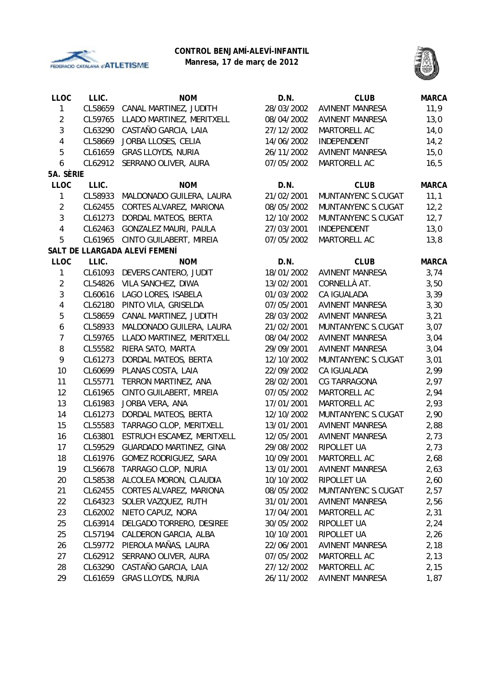

# **CONTROL BENJAMÍ-ALEVÍ-INFANTIL**

**Manresa, 17 de març de 2012**



| <b>LLOC</b>    | LLIC.   | <b>NOM</b>                     | D.N.       | <b>CLUB</b>            | <b>MARCA</b> |
|----------------|---------|--------------------------------|------------|------------------------|--------------|
| 1              | CL58659 | CANAL MARTINEZ, JUDITH         | 28/03/2002 | <b>AVINENT MANRESA</b> | 11,9         |
| $\overline{2}$ | CL59765 | LLADO MARTINEZ, MERITXELL      | 08/04/2002 | <b>AVINENT MANRESA</b> | 13,0         |
| 3              | CL63290 | CASTAÑO GARCIA, LAIA           | 27/12/2002 | MARTORELL AC           | 14,0         |
| 4              | CL58669 | JORBA LLOSES, CELIA            | 14/06/2002 | INDEPENDENT            | 14,2         |
| 5              | CL61659 | <b>GRAS LLOYDS, NURIA</b>      | 26/11/2002 | <b>AVINENT MANRESA</b> | 15,0         |
| 6              | CL62912 | SERRANO OLIVER, AURA           | 07/05/2002 | MARTORELL AC           | 16, 5        |
| 5A. SÈRIE      |         |                                |            |                        |              |
| <b>LLOC</b>    | LLIC.   | <b>NOM</b>                     | D.N.       | <b>CLUB</b>            | <b>MARCA</b> |
| 1              | CL58933 | MALDONADO GUILERA, LAURA       | 21/02/2001 | MUNTANYENC S.CUGAT     | 11,1         |
| $\overline{2}$ | CL62455 | CORTES ALVAREZ, MARIONA        | 08/05/2002 | MUNTANYENC S.CUGAT     | 12, 2        |
| 3              | CL61273 | DORDAL MATEOS, BERTA           | 12/10/2002 | MUNTANYENC S.CUGAT     | 12,7         |
| 4              | CL62463 | GONZALEZ MAURI, PAULA          | 27/03/2001 | INDEPENDENT            | 13,0         |
| 5              | CL61965 | CINTO GUILABERT, MIREIA        | 07/05/2002 | MARTORELL AC           | 13,8         |
|                |         | SALT DE LLARGADA ALEVÍ FEMENÍ  |            |                        |              |
| <b>LLOC</b>    | LLIC.   | <b>NOM</b>                     | D.N.       | <b>CLUB</b>            | <b>MARCA</b> |
| 1              | CL61093 | DEVERS CANTERO, JUDIT          | 18/01/2002 | <b>AVINENT MANRESA</b> | 3,74         |
| $\overline{2}$ | CL54826 | VILA SANCHEZ, DIWA             | 13/02/2001 | CORNELLÀ AT.           | 3,50         |
| 3              | CL60616 | LAGO LORES, ISABELA            | 01/03/2002 | CA IGUALADA            | 3,39         |
| 4              | CL62180 | PINTO VILA, GRISELDA           | 07/05/2001 | <b>AVINENT MANRESA</b> | 3,30         |
| 5              | CL58659 | CANAL MARTINEZ, JUDITH         | 28/03/2002 | <b>AVINENT MANRESA</b> | 3,21         |
| 6              | CL58933 | MALDONADO GUILERA, LAURA       | 21/02/2001 | MUNTANYENC S.CUGAT     | 3,07         |
| $\overline{7}$ | CL59765 | LLADO MARTINEZ, MERITXELL      | 08/04/2002 | <b>AVINENT MANRESA</b> | 3,04         |
| 8              | CL55582 | RIERA SATO, MARTA              | 29/09/2001 | <b>AVINENT MANRESA</b> | 3,04         |
| 9              | CL61273 | DORDAL MATEOS, BERTA           | 12/10/2002 | MUNTANYENC S.CUGAT     | 3,01         |
| 10             | CL60699 | PLANAS COSTA, LAIA             | 22/09/2002 | CA IGUALADA            | 2,99         |
| 11             | CL55771 | TERRON MARTINEZ, ANA           | 28/02/2001 | CG TARRAGONA           | 2,97         |
| 12             | CL61965 | CINTO GUILABERT, MIREIA        | 07/05/2002 | MARTORELL AC           | 2,94         |
| 13             | CL61983 | JORBA VERA, ANA                | 17/01/2001 | MARTORELL AC           | 2,93         |
| 14             | CL61273 | DORDAL MATEOS, BERTA           | 12/10/2002 | MUNTANYENC S.CUGAT     | 2,90         |
| 15             | CL55583 | TARRAGO CLOP, MERITXELL        | 13/01/2001 | <b>AVINENT MANRESA</b> | 2,88         |
| 16             | CL63801 | ESTRUCH ESCAMEZ, MERITXELL     | 12/05/2001 | <b>AVINENT MANRESA</b> | 2,73         |
| 17             | CL59529 | <b>GUARDADO MARTINEZ, GINA</b> | 29/08/2002 | RIPOLLET UA            | 2,73         |
| 18             | CL61976 | GOMEZ RODRIGUEZ, SARA          | 10/09/2001 | MARTORELL AC           | 2,68         |
| 19             | CL56678 | TARRAGO CLOP, NURIA            | 13/01/2001 | <b>AVINENT MANRESA</b> | 2,63         |
| 20             | CL58538 | ALCOLEA MORON, CLAUDIA         | 10/10/2002 | RIPOLLET UA            | 2,60         |
| 21             | CL62455 | CORTES ALVAREZ, MARIONA        | 08/05/2002 | MUNTANYENC S.CUGAT     | 2,57         |
| 22             | CL64323 | SOLER VAZQUEZ, RUTH            | 31/01/2001 | AVINENT MANRESA        | 2,56         |
| 23             | CL62002 | NIETO CAPUZ, NORA              | 17/04/2001 | MARTORELL AC           | 2,31         |
| 25             | CL63914 | DELGADO TORRERO, DESIREE       | 30/05/2002 | RIPOLLET UA            | 2,24         |
| 25             | CL57194 | CALDERON GARCIA, ALBA          | 10/10/2001 | RIPOLLET UA            | 2,26         |
| 26             | CL59772 | PIEROLA MAÑAS, LAURA           | 22/06/2001 | <b>AVINENT MANRESA</b> | 2,18         |
| 27             | CL62912 | SERRANO OLIVER, AURA           | 07/05/2002 | MARTORELL AC           | 2,13         |
| 28             | CL63290 | CASTAÑO GARCIA, LAIA           | 27/12/2002 | MARTORELL AC           | 2,15         |
| 29             | CL61659 | GRAS LLOYDS, NURIA             | 26/11/2002 | AVINENT MANRESA        | 1,87         |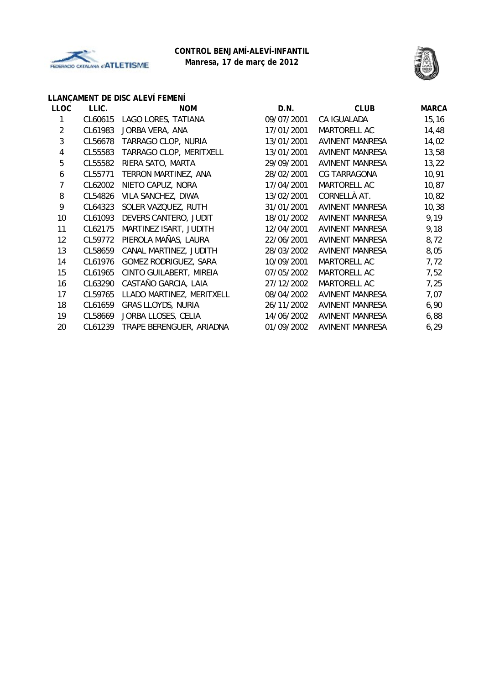



# **LLANÇAMENT DE DISC ALEVÍ FEMENÍ**

| <b>LLOC</b>    | LLIC.   | <b>NOM</b>                | D.N.       | <b>CLUB</b>            | <b>MARCA</b> |
|----------------|---------|---------------------------|------------|------------------------|--------------|
| 1              | CL60615 | LAGO LORES, TATIANA       | 09/07/2001 | CA IGUALADA            | 15, 16       |
| $\overline{2}$ | CL61983 | JORBA VERA, ANA           | 17/01/2001 | MARTORELL AC           | 14,48        |
| 3              | CL56678 | TARRAGO CLOP, NURIA       | 13/01/2001 | AVINENT MANRESA        | 14,02        |
| 4              | CL55583 | TARRAGO CLOP, MERITXELL   | 13/01/2001 | <b>AVINENT MANRESA</b> | 13,58        |
| 5              | CL55582 | RIERA SATO, MARTA         | 29/09/2001 | <b>AVINENT MANRESA</b> | 13,22        |
| 6              | CL55771 | TERRON MARTINEZ, ANA      | 28/02/2001 | CG TARRAGONA           | 10,91        |
| 7              | CL62002 | NIETO CAPUZ, NORA         | 17/04/2001 | MARTORELL AC           | 10,87        |
| 8              | CL54826 | VILA SANCHEZ, DIWA        | 13/02/2001 | CORNELLÀ AT.           | 10,82        |
| 9              | CL64323 | SOLER VAZQUEZ, RUTH       | 31/01/2001 | AVINENT MANRESA        | 10,38        |
| 10             | CL61093 | DEVERS CANTERO, JUDIT     | 18/01/2002 | AVINENT MANRESA        | 9,19         |
| 11             | CL62175 | MARTINEZ ISART, JUDITH    | 12/04/2001 | AVINENT MANRESA        | 9,18         |
| 12             | CL59772 | PIEROLA MAÑAS, LAURA      | 22/06/2001 | AVINENT MANRESA        | 8,72         |
| 13             | CL58659 | CANAL MARTINEZ, JUDITH    | 28/03/2002 | AVINENT MANRESA        | 8,05         |
| 14             | CL61976 | GOMEZ RODRIGUEZ, SARA     | 10/09/2001 | MARTORELL AC           | 7,72         |
| 15             | CL61965 | CINTO GUILABERT, MIREIA   | 07/05/2002 | MARTORELL AC           | 7,52         |
| 16             | CL63290 | CASTAÑO GARCIA, LAIA      | 27/12/2002 | MARTORELL AC           | 7,25         |
| 17             | CL59765 | LLADO MARTINEZ, MERITXELL | 08/04/2002 | <b>AVINENT MANRESA</b> | 7,07         |
| 18             | CL61659 | GRAS LLOYDS, NURIA        | 26/11/2002 | <b>AVINENT MANRESA</b> | 6,90         |
| 19             | CL58669 | JORBA LLOSES, CELIA       | 14/06/2002 | AVINENT MANRESA        | 6,88         |
| 20             | CL61239 | TRAPE BERENGUER, ARIADNA  | 01/09/2002 | AVINENT MANRESA        | 6, 29        |
|                |         |                           |            |                        |              |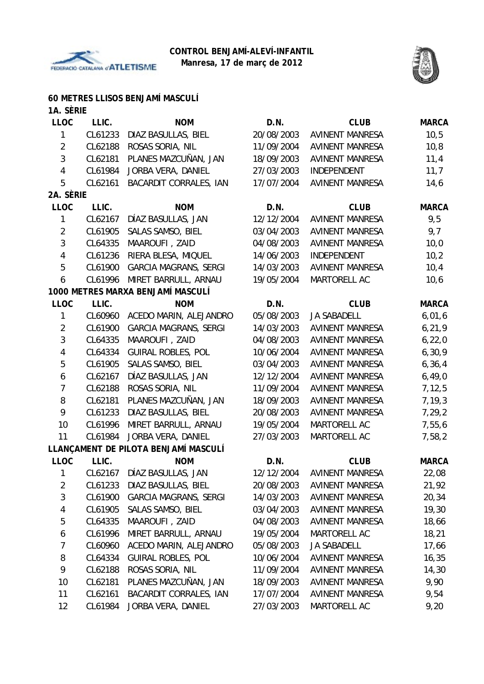



### **60 METRES LLISOS BENJAMÍ MASCULÍ**

| 1A. SÈRIE      |         |                                      |            |                            |              |
|----------------|---------|--------------------------------------|------------|----------------------------|--------------|
| <b>LLOC</b>    | LLIC.   | <b>NOM</b>                           | D.N.       | <b>CLUB</b>                | <b>MARCA</b> |
| 1              | CL61233 | DIAZ BASULLAS, BIEL                  | 20/08/2003 | <b>AVINENT MANRESA</b>     | 10,5         |
| $\overline{2}$ | CL62188 | ROSAS SORIA, NIL                     | 11/09/2004 | <b>AVINENT MANRESA</b>     | 10, 8        |
| 3              | CL62181 | PLANES MAZCUÑAN, JAN                 | 18/09/2003 | <b>AVINENT MANRESA</b>     | 11,4         |
| $\overline{4}$ | CL61984 | JORBA VERA, DANIEL                   | 27/03/2003 | INDEPENDENT                | 11,7         |
| 5              | CL62161 | <b>BACARDIT CORRALES, IAN</b>        | 17/07/2004 | <b>AVINENT MANRESA</b>     | 14,6         |
| 2A. SÈRIE      |         |                                      |            |                            |              |
| <b>LLOC</b>    | LLIC.   | <b>NOM</b>                           | D.N.       | <b>CLUB</b>                | <b>MARCA</b> |
| $\mathbf{1}$   | CL62167 | DÍAZ BASULLAS, JAN                   | 12/12/2004 | <b>AVINENT MANRESA</b>     | 9,5          |
| $\overline{2}$ | CL61905 | SALAS SAMSO, BIEL                    | 03/04/2003 | <b>AVINENT MANRESA</b>     | 9,7          |
| $\mathfrak{Z}$ | CL64335 | MAAROUFI, ZAID                       | 04/08/2003 | <b>AVINENT MANRESA</b>     | 10,0         |
| 4              | CL61236 | RIERA BLESA, MIQUEL                  | 14/06/2003 | INDEPENDENT                | 10,2         |
| 5              | CL61900 | <b>GARCIA MAGRANS, SERGI</b>         | 14/03/2003 | <b>AVINENT MANRESA</b>     | 10,4         |
| 6              | CL61996 | MIRET BARRULL, ARNAU                 | 19/05/2004 | MARTORELL AC               | 10,6         |
|                |         | 1000 METRES MARXA BENJAMÍ MASCULÍ    |            |                            |              |
| <b>LLOC</b>    | LLIC.   | <b>NOM</b>                           | D.N.       | <b>CLUB</b>                | <b>MARCA</b> |
| $\mathbf{1}$   | CL60960 | ACEDO MARIN, ALEJANDRO               | 05/08/2003 | <b>JA SABADELL</b>         | 6,01,6       |
| $\overline{2}$ | CL61900 | <b>GARCIA MAGRANS, SERGI</b>         | 14/03/2003 | <b>AVINENT MANRESA</b>     | 6, 21, 9     |
| $\sqrt{3}$     | CL64335 | MAAROUFI, ZAID                       | 04/08/2003 | <b>AVINENT MANRESA</b>     | 6, 22, 0     |
| 4              | CL64334 | <b>GUIRAL ROBLES, POL</b>            | 10/06/2004 | <b>AVINENT MANRESA</b>     | 6, 30, 9     |
| $\sqrt{5}$     | CL61905 | SALAS SAMSO, BIEL                    | 03/04/2003 | <b>AVINENT MANRESA</b>     | 6, 36, 4     |
| 6              | CL62167 | DÍAZ BASULLAS, JAN                   | 12/12/2004 | <b>AVINENT MANRESA</b>     | 6,49,0       |
| $\overline{7}$ | CL62188 | ROSAS SORIA, NIL                     | 11/09/2004 | <b>AVINENT MANRESA</b>     | 7, 12, 5     |
| 8              | CL62181 | PLANES MAZCUÑAN, JAN                 | 18/09/2003 | <b>AVINENT MANRESA</b>     | 7, 19, 3     |
| 9              | CL61233 | DIAZ BASULLAS, BIEL                  | 20/08/2003 | <b>AVINENT MANRESA</b>     | 7,29,2       |
| 10             | CL61996 | MIRET BARRULL, ARNAU                 | 19/05/2004 | MARTORELL AC               | 7,55,6       |
| 11             | CL61984 | JORBA VERA, DANIEL                   | 27/03/2003 | MARTORELL AC               | 7,58,2       |
|                |         | LLANÇAMENT DE PILOTA BENJAMÍ MASCULÍ |            |                            |              |
| <b>LLOC</b>    | LLIC.   | <b>NOM</b>                           | D.N.       | <b>CLUB</b>                | <b>MARCA</b> |
| 1              |         | CL62167 DÍAZ BASULLAS, JAN           |            | 12/12/2004 AVINENT MANRESA | 22,08        |
| $\overline{2}$ | CL61233 | DIAZ BASULLAS, BIEL                  | 20/08/2003 | <b>AVINENT MANRESA</b>     | 21,92        |
| 3              | CL61900 | <b>GARCIA MAGRANS, SERGI</b>         | 14/03/2003 | <b>AVINENT MANRESA</b>     | 20,34        |
| 4              | CL61905 | SALAS SAMSO, BIEL                    | 03/04/2003 | AVINENT MANRESA            | 19,30        |
| 5              | CL64335 | MAAROUFI, ZAID                       | 04/08/2003 | <b>AVINENT MANRESA</b>     | 18,66        |
| 6              | CL61996 | MIRET BARRULL, ARNAU                 | 19/05/2004 | MARTORELL AC               | 18,21        |
| 7              | CL60960 | ACEDO MARIN, ALEJANDRO               | 05/08/2003 | <b>JA SABADELL</b>         | 17,66        |
| 8              | CL64334 | <b>GUIRAL ROBLES, POL</b>            | 10/06/2004 | <b>AVINENT MANRESA</b>     | 16,35        |
| 9              | CL62188 | ROSAS SORIA, NIL                     | 11/09/2004 | <b>AVINENT MANRESA</b>     | 14,30        |
| 10             | CL62181 | PLANES MAZCUÑAN, JAN                 | 18/09/2003 | AVINENT MANRESA            | 9,90         |
| 11             | CL62161 | BACARDIT CORRALES, IAN               | 17/07/2004 | <b>AVINENT MANRESA</b>     | 9,54         |

12 CL61984 JORBA VERA, DANIEL 27/03/2003 MARTORELL AC 9,20